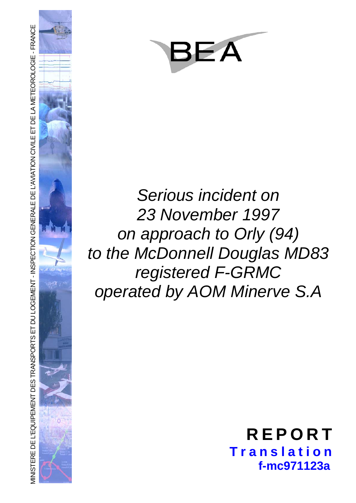

# *Serious incident on 23 November 1997 on approach to Orly (94) to the McDonnell Douglas MD83 registered F-GRMC operated by AOM Minerve S.A*

# **REPORT Translation f-mc971123a**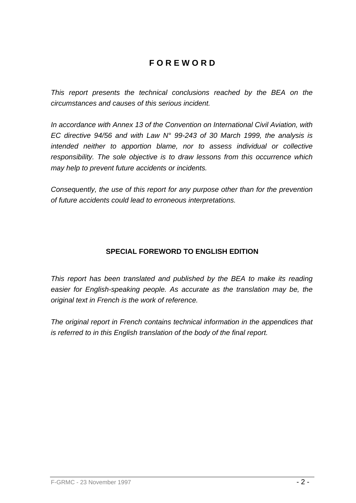# **F O R E W O R D**

*This report presents the technical conclusions reached by the BEA on the circumstances and causes of this serious incident.* 

*In accordance with Annex 13 of the Convention on International Civil Aviation, with EC directive 94/56 and with Law N° 99-243 of 30 March 1999, the analysis is intended neither to apportion blame, nor to assess individual or collective responsibility. The sole objective is to draw lessons from this occurrence which may help to prevent future accidents or incidents.* 

*Consequently, the use of this report for any purpose other than for the prevention of future accidents could lead to erroneous interpretations.* 

# **SPECIAL FOREWORD TO ENGLISH EDITION**

*This report has been translated and published by the BEA to make its reading easier for English-speaking people. As accurate as the translation may be, the original text in French is the work of reference.* 

*The original report in French contains technical information in the appendices that is referred to in this English translation of the body of the final report.*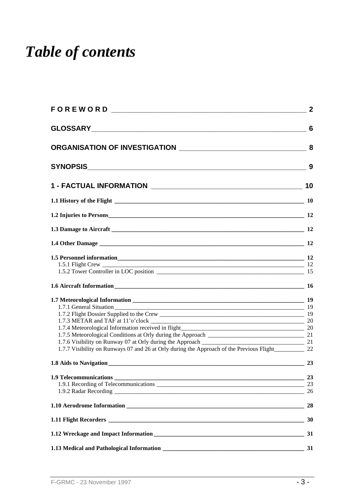# *Table of contents*

|                                                                                                                                                                                                                                                                      | $\overline{2}$ |
|----------------------------------------------------------------------------------------------------------------------------------------------------------------------------------------------------------------------------------------------------------------------|----------------|
|                                                                                                                                                                                                                                                                      |                |
|                                                                                                                                                                                                                                                                      |                |
|                                                                                                                                                                                                                                                                      | 9              |
|                                                                                                                                                                                                                                                                      |                |
|                                                                                                                                                                                                                                                                      |                |
|                                                                                                                                                                                                                                                                      |                |
|                                                                                                                                                                                                                                                                      |                |
|                                                                                                                                                                                                                                                                      |                |
|                                                                                                                                                                                                                                                                      |                |
|                                                                                                                                                                                                                                                                      |                |
| 1.7.1 General Situation<br>$\overline{\phantom{a}}$ 19<br>$\overline{\phantom{a}20}$<br>1.7.6 Visibility on Runway 07 at Orly during the Approach ______________________<br>1.7.7 Visibility on Runways 07 and 26 at Orly during the Approach of the Previous Flight | - 19<br>21     |
|                                                                                                                                                                                                                                                                      |                |
|                                                                                                                                                                                                                                                                      | 23             |
|                                                                                                                                                                                                                                                                      | 28             |
|                                                                                                                                                                                                                                                                      |                |
|                                                                                                                                                                                                                                                                      | 31             |
|                                                                                                                                                                                                                                                                      |                |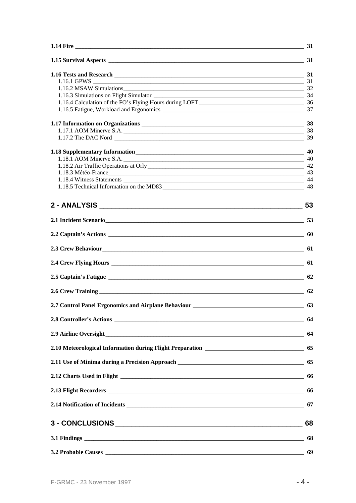|                                                                                                                                                                                                                                | $-34$ |
|--------------------------------------------------------------------------------------------------------------------------------------------------------------------------------------------------------------------------------|-------|
|                                                                                                                                                                                                                                |       |
|                                                                                                                                                                                                                                |       |
|                                                                                                                                                                                                                                |       |
|                                                                                                                                                                                                                                |       |
|                                                                                                                                                                                                                                |       |
|                                                                                                                                                                                                                                |       |
|                                                                                                                                                                                                                                |       |
|                                                                                                                                                                                                                                | 40    |
|                                                                                                                                                                                                                                |       |
| 1.18.3 Météo-France 43                                                                                                                                                                                                         |       |
|                                                                                                                                                                                                                                |       |
|                                                                                                                                                                                                                                |       |
| 2 - ANALYSIS 53                                                                                                                                                                                                                |       |
| 2.1 Incident Scenario 53                                                                                                                                                                                                       |       |
|                                                                                                                                                                                                                                |       |
| 2.3 Crew Behaviour 61 and 2.3 Crew Behaviour 61 and 2.3 Crew Behaviour 61 and 2.3 Crew Behaviour 61 and 2.6 and 2.6 and 2.6 and 2.7 and 2.7 and 2.7 and 2.7 and 2.7 and 2.7 and 2.7 and 2.7 and 2.7 and 2.7 and 2.7 and 2.7 an |       |
|                                                                                                                                                                                                                                |       |
|                                                                                                                                                                                                                                |       |
|                                                                                                                                                                                                                                |       |
|                                                                                                                                                                                                                                |       |
|                                                                                                                                                                                                                                |       |
|                                                                                                                                                                                                                                |       |
|                                                                                                                                                                                                                                |       |
|                                                                                                                                                                                                                                |       |
|                                                                                                                                                                                                                                |       |
|                                                                                                                                                                                                                                |       |
|                                                                                                                                                                                                                                |       |
|                                                                                                                                                                                                                                |       |
|                                                                                                                                                                                                                                |       |
|                                                                                                                                                                                                                                |       |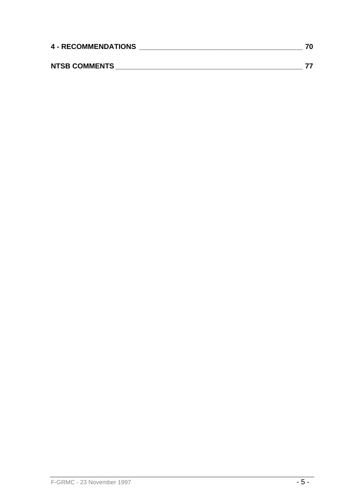| <b>4 - RECOMMENDATIONS</b> |  |  |
|----------------------------|--|--|
|                            |  |  |
| <b>NTSB COMMENTS</b>       |  |  |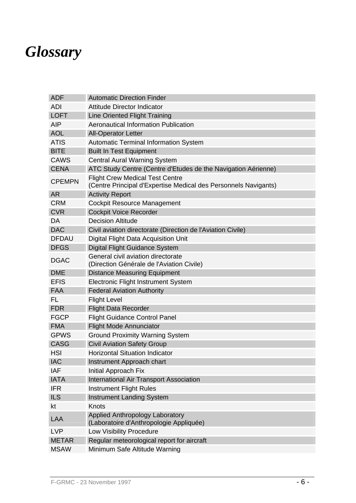# *Glossary*

| <b>ADF</b>    | <b>Automatic Direction Finder</b>                                                                         |  |  |  |  |
|---------------|-----------------------------------------------------------------------------------------------------------|--|--|--|--|
| <b>ADI</b>    | <b>Attitude Director Indicator</b>                                                                        |  |  |  |  |
| <b>LOFT</b>   | <b>Line Oriented Flight Training</b>                                                                      |  |  |  |  |
| <b>AIP</b>    | Aeronautical Information Publication                                                                      |  |  |  |  |
| <b>AOL</b>    | <b>All-Operator Letter</b>                                                                                |  |  |  |  |
| <b>ATIS</b>   | <b>Automatic Terminal Information System</b>                                                              |  |  |  |  |
| <b>BITE</b>   | <b>Built In Test Equipment</b>                                                                            |  |  |  |  |
| <b>CAWS</b>   | <b>Central Aural Warning System</b>                                                                       |  |  |  |  |
| <b>CENA</b>   | ATC Study Centre (Centre d'Etudes de the Navigation Aérienne)                                             |  |  |  |  |
| <b>CPEMPN</b> | <b>Flight Crew Medical Test Centre</b><br>(Centre Principal d'Expertise Medical des Personnels Navigants) |  |  |  |  |
| <b>AR</b>     | <b>Activity Report</b>                                                                                    |  |  |  |  |
| <b>CRM</b>    | <b>Cockpit Resource Management</b>                                                                        |  |  |  |  |
| <b>CVR</b>    | <b>Cockpit Voice Recorder</b>                                                                             |  |  |  |  |
| DA            | <b>Decision Altitude</b>                                                                                  |  |  |  |  |
| <b>DAC</b>    | Civil aviation directorate (Direction de l'Aviation Civile)                                               |  |  |  |  |
| <b>DFDAU</b>  | Digital Flight Data Acquisition Unit                                                                      |  |  |  |  |
| <b>DFGS</b>   | <b>Digital Flight Guidance System</b>                                                                     |  |  |  |  |
| <b>DGAC</b>   | General civil aviation directorate<br>(Direction Générale de l'Aviation Civile)                           |  |  |  |  |
| <b>DME</b>    | <b>Distance Measuring Equipment</b>                                                                       |  |  |  |  |
| <b>EFIS</b>   | Electronic Flight Instrument System                                                                       |  |  |  |  |
| <b>FAA</b>    | <b>Federal Aviation Authority</b>                                                                         |  |  |  |  |
| FL            | <b>Flight Level</b>                                                                                       |  |  |  |  |
| <b>FDR</b>    | <b>Flight Data Recorder</b>                                                                               |  |  |  |  |
| <b>FGCP</b>   | <b>Flight Guidance Control Panel</b>                                                                      |  |  |  |  |
| <b>FMA</b>    | <b>Flight Mode Annunciator</b>                                                                            |  |  |  |  |
| <b>GPWS</b>   | <b>Ground Proximity Warning System</b>                                                                    |  |  |  |  |
| <b>CASG</b>   | <b>Civil Aviation Safety Group</b>                                                                        |  |  |  |  |
| <b>HSI</b>    | <b>Horizontal Situation Indicator</b>                                                                     |  |  |  |  |
| <b>IAC</b>    | Instrument Approach chart                                                                                 |  |  |  |  |
| IAF           | Initial Approach Fix                                                                                      |  |  |  |  |
| <b>IATA</b>   | <b>International Air Transport Association</b>                                                            |  |  |  |  |
| <b>IFR</b>    | <b>Instrument Flight Rules</b>                                                                            |  |  |  |  |
| <b>ILS</b>    | <b>Instrument Landing System</b>                                                                          |  |  |  |  |
| kt            | Knots                                                                                                     |  |  |  |  |
| <b>LAA</b>    | Applied Anthropology Laboratory<br>(Laboratoire d'Anthropologie Appliquée)                                |  |  |  |  |
| <b>LVP</b>    | Low Visibility Procedure                                                                                  |  |  |  |  |
| <b>METAR</b>  | Regular meteorological report for aircraft                                                                |  |  |  |  |
| <b>MSAW</b>   | Minimum Safe Altitude Warning                                                                             |  |  |  |  |
|               |                                                                                                           |  |  |  |  |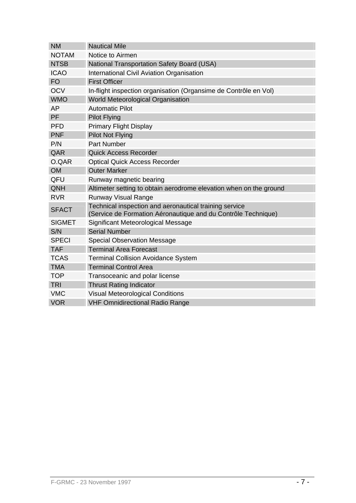| <b>NM</b>     | <b>Nautical Mile</b>                                                                                                    |  |  |  |  |
|---------------|-------------------------------------------------------------------------------------------------------------------------|--|--|--|--|
| <b>NOTAM</b>  | Notice to Airmen                                                                                                        |  |  |  |  |
| <b>NTSB</b>   | <b>National Transportation Safety Board (USA)</b>                                                                       |  |  |  |  |
| <b>ICAO</b>   | <b>International Civil Aviation Organisation</b>                                                                        |  |  |  |  |
| <b>FO</b>     | <b>First Officer</b>                                                                                                    |  |  |  |  |
| <b>OCV</b>    | In-flight inspection organisation (Organsime de Contrôle en Vol)                                                        |  |  |  |  |
| <b>WMO</b>    | World Meteorological Organisation                                                                                       |  |  |  |  |
| AP            | <b>Automatic Pilot</b>                                                                                                  |  |  |  |  |
| PF            | <b>Pilot Flying</b>                                                                                                     |  |  |  |  |
| <b>PFD</b>    | <b>Primary Flight Display</b>                                                                                           |  |  |  |  |
| <b>PNF</b>    | <b>Pilot Not Flying</b>                                                                                                 |  |  |  |  |
| P/N           | <b>Part Number</b>                                                                                                      |  |  |  |  |
| QAR           | <b>Quick Access Recorder</b>                                                                                            |  |  |  |  |
| O.QAR         | <b>Optical Quick Access Recorder</b>                                                                                    |  |  |  |  |
| <b>OM</b>     | <b>Outer Marker</b>                                                                                                     |  |  |  |  |
| QFU           | Runway magnetic bearing                                                                                                 |  |  |  |  |
| QNH           | Altimeter setting to obtain aerodrome elevation when on the ground                                                      |  |  |  |  |
| <b>RVR</b>    | <b>Runway Visual Range</b>                                                                                              |  |  |  |  |
| <b>SFACT</b>  | Technical inspection and aeronautical training service<br>(Service de Formation Aéronautique and du Contrôle Technique) |  |  |  |  |
| <b>SIGMET</b> | Significant Meteorological Message                                                                                      |  |  |  |  |
| S/N           | <b>Serial Number</b>                                                                                                    |  |  |  |  |
| <b>SPECI</b>  | <b>Special Observation Message</b>                                                                                      |  |  |  |  |
| <b>TAF</b>    | <b>Terminal Area Forecast</b>                                                                                           |  |  |  |  |
| <b>TCAS</b>   | <b>Terminal Collision Avoidance System</b>                                                                              |  |  |  |  |
| <b>TMA</b>    | <b>Terminal Control Area</b>                                                                                            |  |  |  |  |
| <b>TOP</b>    | Transoceanic and polar license                                                                                          |  |  |  |  |
| <b>TRI</b>    | <b>Thrust Rating Indicator</b>                                                                                          |  |  |  |  |
| <b>VMC</b>    | <b>Visual Meteorological Conditions</b>                                                                                 |  |  |  |  |
| <b>VOR</b>    | <b>VHF Omnidirectional Radio Range</b>                                                                                  |  |  |  |  |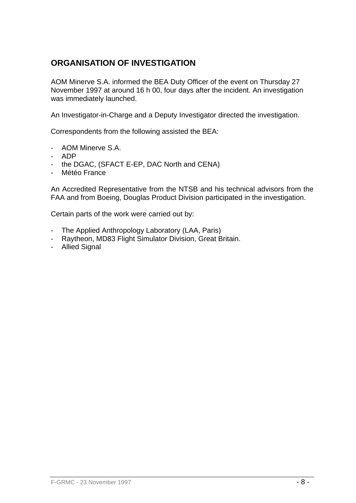# **ORGANISATION OF INVESTIGATION**

AOM Minerve S.A. informed the BEA Duty Officer of the event on Thursday 27 November 1997 at around 16 h 00, four days after the incident. An investigation was immediately launched.

An Investigator-in-Charge and a Deputy Investigator directed the investigation.

Correspondents from the following assisted the BEA:

- AOM Minerve S.A.
- ADP
- the DGAC, (SFACT E-EP, DAC North and CENA)
- Météo France

An Accredited Representative from the NTSB and his technical advisors from the FAA and from Boeing, Douglas Product Division participated in the investigation.

Certain parts of the work were carried out by:

- The Applied Anthropology Laboratory (LAA, Paris)
- Raytheon, MD83 Flight Simulator Division, Great Britain.
- Allied Signal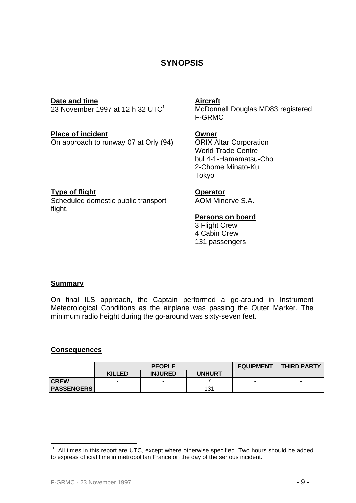# **SYNOPSIS**

**Date and time**<br>
23 November 1997 at 12 h 32 UTC<sup>1</sup> McDonne

**Place of incident**<br>On approach to runway 07 at Orly (94) ORIX Altar Corporation On approach to runway 07 at Orly  $(94)$ 

McDonnell Douglas MD83 registered F-GRMC

World Trade Centre bul 4-1-Hamamatsu-Cho 2-Chome Minato-Ku Tokyo

#### **Type of flight Contract Contract Contract Contract Contract Contract Contract Contract Contract Contract Contract Contract Contract Contract Contract Contract Contract Contract Contract Contract Contract Contract Contract**

Scheduled domestic public transport flight.

AOM Minerve S.A.

#### **Persons on board**

3 Flight Crew 4 Cabin Crew 131 passengers

#### **Summary**

On final ILS approach, the Captain performed a go-around in Instrument Meteorological Conditions as the airplane was passing the Outer Marker. The minimum radio height during the go-around was sixty-seven feet.

#### **Consequences**

1

|                   | <b>PEOPLE</b> |                |               | <b>EQUIPMENT</b> | <b>THIRD PARTY</b> |
|-------------------|---------------|----------------|---------------|------------------|--------------------|
|                   | <b>KILLED</b> | <b>INJURED</b> | <b>UNHURT</b> |                  |                    |
| <b>CREW</b>       | -             |                |               | -                |                    |
| <b>PASSENGERS</b> |               |                | 131           |                  |                    |

 $1$ . All times in this report are UTC, except where otherwise specified. Two hours should be added to express official time in metropolitan France on the day of the serious incident.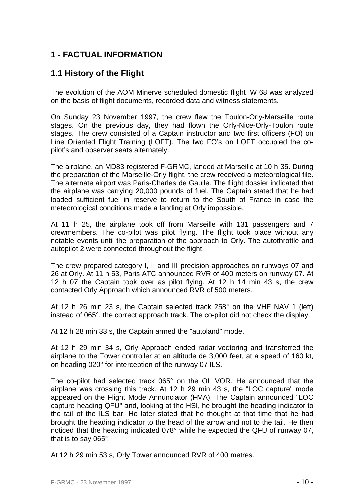# **1 - FACTUAL INFORMATION**

# **1.1 History of the Flight**

The evolution of the AOM Minerve scheduled domestic flight IW 68 was analyzed on the basis of flight documents, recorded data and witness statements.

On Sunday 23 November 1997, the crew flew the Toulon-Orly-Marseille route stages. On the previous day, they had flown the Orly-Nice-Orly-Toulon route stages. The crew consisted of a Captain instructor and two first officers (FO) on Line Oriented Flight Training (LOFT). The two FO's on LOFT occupied the copilot's and observer seats alternately.

The airplane, an MD83 registered F-GRMC, landed at Marseille at 10 h 35. During the preparation of the Marseille-Orly flight, the crew received a meteorological file. The alternate airport was Paris-Charles de Gaulle. The flight dossier indicated that the airplane was carrying 20,000 pounds of fuel. The Captain stated that he had loaded sufficient fuel in reserve to return to the South of France in case the meteorological conditions made a landing at Orly impossible.

At 11 h 25, the airplane took off from Marseille with 131 passengers and 7 crewmembers. The co-pilot was pilot flying. The flight took place without any notable events until the preparation of the approach to Orly. The autothrottle and autopilot 2 were connected throughout the flight.

The crew prepared category I, II and III precision approaches on runways 07 and 26 at Orly. At 11 h 53, Paris ATC announced RVR of 400 meters on runway 07. At 12 h 07 the Captain took over as pilot flying. At 12 h 14 min 43 s, the crew contacted Orly Approach which announced RVR of 500 meters.

At 12 h 26 min 23 s, the Captain selected track 258° on the VHF NAV 1 (left) instead of 065°, the correct approach track. The co-pilot did not check the display.

At 12 h 28 min 33 s, the Captain armed the "autoland" mode.

At 12 h 29 min 34 s, Orly Approach ended radar vectoring and transferred the airplane to the Tower controller at an altitude de 3,000 feet, at a speed of 160 kt, on heading 020° for interception of the runway 07 ILS.

The co-pilot had selected track 065° on the OL VOR. He announced that the airplane was crossing this track. At 12 h 29 min 43 s, the "LOC capture" mode appeared on the Flight Mode Annunciator (FMA). The Captain announced "LOC capture heading QFU" and, looking at the HSI, he brought the heading indicator to the tail of the ILS bar. He later stated that he thought at that time that he had brought the heading indicator to the head of the arrow and not to the tail. He then noticed that the heading indicated 078° while he expected the QFU of runway 07, that is to say 065°.

At 12 h 29 min 53 s, Orly Tower announced RVR of 400 metres.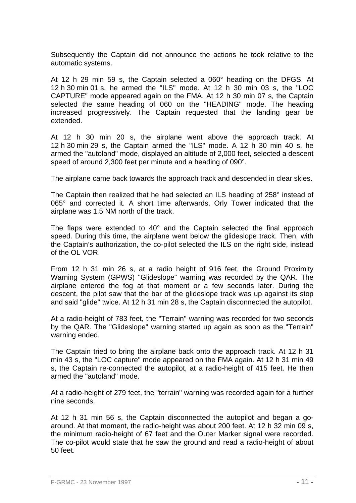Subsequently the Captain did not announce the actions he took relative to the automatic systems.

At 12 h 29 min 59 s, the Captain selected a 060° heading on the DFGS. At 12 h 30 min 01 s, he armed the "ILS" mode. At 12 h 30 min 03 s, the "LOC CAPTURE" mode appeared again on the FMA. At 12 h 30 min 07 s, the Captain selected the same heading of 060 on the "HEADING" mode. The heading increased progressively. The Captain requested that the landing gear be extended.

At 12 h 30 min 20 s, the airplane went above the approach track. At 12 h 30 min 29 s, the Captain armed the "ILS" mode. A 12 h 30 min 40 s, he armed the "autoland" mode, displayed an altitude of 2,000 feet, selected a descent speed of around 2,300 feet per minute and a heading of 090°.

The airplane came back towards the approach track and descended in clear skies.

The Captain then realized that he had selected an ILS heading of 258° instead of 065° and corrected it. A short time afterwards, Orly Tower indicated that the airplane was 1.5 NM north of the track.

The flaps were extended to 40° and the Captain selected the final approach speed. During this time, the airplane went below the glideslope track. Then, with the Captain's authorization, the co-pilot selected the ILS on the right side, instead of the OL VOR.

From 12 h 31 min 26 s, at a radio height of 916 feet, the Ground Proximity Warning System (GPWS) "Glideslope" warning was recorded by the QAR. The airplane entered the fog at that moment or a few seconds later. During the descent, the pilot saw that the bar of the glideslope track was up against its stop and said "glide" twice. At 12 h 31 min 28 s, the Captain disconnected the autopilot.

At a radio-height of 783 feet, the "Terrain" warning was recorded for two seconds by the QAR. The "Glideslope" warning started up again as soon as the "Terrain" warning ended.

The Captain tried to bring the airplane back onto the approach track. At 12 h 31 min 43 s, the "LOC capture" mode appeared on the FMA again. At 12 h 31 min 49 s, the Captain re-connected the autopilot, at a radio-height of 415 feet. He then armed the "autoland" mode.

At a radio-height of 279 feet, the "terrain" warning was recorded again for a further nine seconds.

At 12 h 31 min 56 s, the Captain disconnected the autopilot and began a goaround. At that moment, the radio-height was about 200 feet. At 12 h 32 min 09 s, the minimum radio-height of 67 feet and the Outer Marker signal were recorded. The co-pilot would state that he saw the ground and read a radio-height of about 50 feet.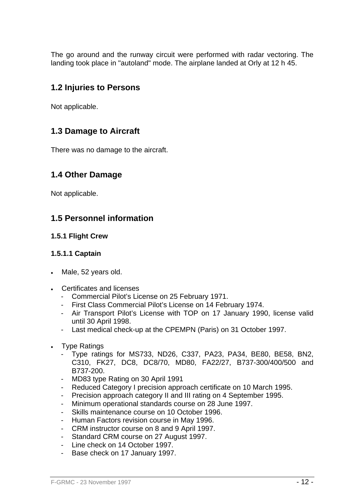The go around and the runway circuit were performed with radar vectoring. The landing took place in "autoland" mode. The airplane landed at Orly at 12 h 45.

# **1.2 Injuries to Persons**

Not applicable.

# **1.3 Damage to Aircraft**

There was no damage to the aircraft.

# **1.4 Other Damage**

Not applicable.

# **1.5 Personnel information**

### **1.5.1 Flight Crew**

#### **1.5.1.1 Captain**

- Male, 52 years old.
- Certificates and licenses
	- Commercial Pilot's License on 25 February 1971.
	- First Class Commercial Pilot's License on 14 February 1974.
	- Air Transport Pilot's License with TOP on 17 January 1990, license valid until 30 April 1998.
	- Last medical check-up at the CPEMPN (Paris) on 31 October 1997.
- Type Ratings
	- Type ratings for MS733, ND26, C337, PA23, PA34, BE80, BE58, BN2, C310, FK27, DC8, DC8/70, MD80, FA22/27, B737-300/400/500 and B737-200.
	- MD83 type Rating on 30 April 1991
	- Reduced Category I precision approach certificate on 10 March 1995.
	- Precision approach category II and III rating on 4 September 1995.
	- Minimum operational standards course on 28 June 1997.
	- Skills maintenance course on 10 October 1996.
	- Human Factors revision course in May 1996.
	- CRM instructor course on 8 and 9 April 1997.
	- Standard CRM course on 27 August 1997.
	- Line check on 14 October 1997.
	- Base check on 17 January 1997.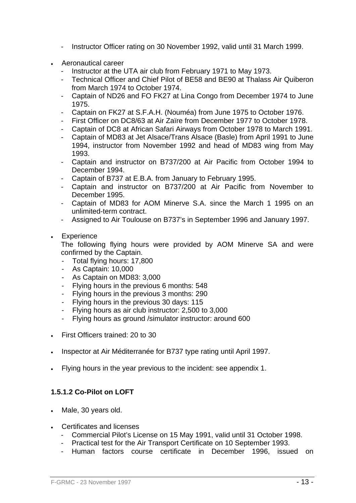- Instructor Officer rating on 30 November 1992, valid until 31 March 1999.
- Aeronautical career
	- Instructor at the UTA air club from February 1971 to May 1973.
	- Technical Officer and Chief Pilot of BE58 and BE90 at Thalass Air Quiberon from March 1974 to October 1974.
	- Captain of ND26 and FO FK27 at Lina Congo from December 1974 to June 1975.
	- Captain on FK27 at S.F.A.H. (Nouméa) from June 1975 to October 1976.
	- First Officer on DC8/63 at Air Zaïre from December 1977 to October 1978.
	- Captain of DC8 at African Safari Airways from October 1978 to March 1991.
	- Captain of MD83 at Jet Alsace/Trans Alsace (Basle) from April 1991 to June 1994, instructor from November 1992 and head of MD83 wing from May 1993.
	- Captain and instructor on B737/200 at Air Pacific from October 1994 to December 1994.
	- Captain of B737 at E.B.A. from January to February 1995.
	- Captain and instructor on B737/200 at Air Pacific from November to December 1995.
	- Captain of MD83 for AOM Minerve S.A. since the March 1 1995 on an unlimited-term contract.
	- Assigned to Air Toulouse on B737's in September 1996 and January 1997.
- **Experience**

The following flying hours were provided by AOM Minerve SA and were confirmed by the Captain.

- Total flying hours: 17,800
- As Captain: 10,000
- As Captain on MD83: 3,000
- Flying hours in the previous 6 months: 548
- Flying hours in the previous 3 months: 290
- Flying hours in the previous 30 days: 115
- Flying hours as air club instructor: 2,500 to 3,000
- Flying hours as ground /simulator instructor: around 600
- First Officers trained: 20 to 30
- Inspector at Air Méditerranée for B737 type rating until April 1997.
- Flying hours in the year previous to the incident: see appendix 1.

### **1.5.1.2 Co-Pilot on LOFT**

- Male, 30 years old.
- Certificates and licenses
	- Commercial Pilot's License on 15 May 1991, valid until 31 October 1998.
	- Practical test for the Air Transport Certificate on 10 September 1993.
	- Human factors course certificate in December 1996, issued on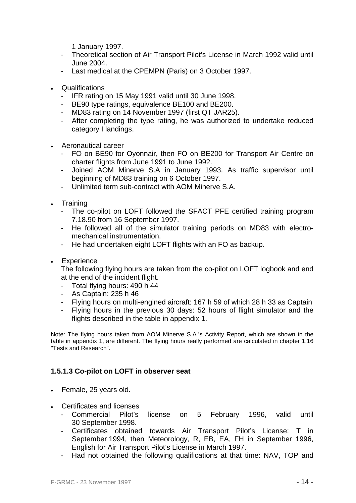1 January 1997.

- Theoretical section of Air Transport Pilot's License in March 1992 valid until June 2004.
- Last medical at the CPEMPN (Paris) on 3 October 1997.
- Qualifications
	- IFR rating on 15 May 1991 valid until 30 June 1998.
	- BE90 type ratings, equivalence BE100 and BE200.
	- MD83 rating on 14 November 1997 (first QT JAR25).
	- After completing the type rating, he was authorized to undertake reduced category I landings.
- Aeronautical career
	- FO on BE90 for Oyonnair, then FO on BE200 for Transport Air Centre on charter flights from June 1991 to June 1992.
	- Joined AOM Minerve S.A in January 1993. As traffic supervisor until beginning of MD83 training on 6 October 1997.
	- Unlimited term sub-contract with AOM Minerve S.A.
- Training
	- The co-pilot on LOFT followed the SFACT PFE certified training program 7.18.90 from 16 September 1997.
	- He followed all of the simulator training periods on MD83 with electromechanical instrumentation.
	- He had undertaken eight LOFT flights with an FO as backup.
- Experience

The following flying hours are taken from the co-pilot on LOFT logbook and end at the end of the incident flight.

- Total flying hours: 490 h 44
- As Captain: 235 h 46
- Flying hours on multi-engined aircraft: 167 h 59 of which 28 h 33 as Captain
- Flying hours in the previous 30 days: 52 hours of flight simulator and the flights described in the table in appendix 1.

Note: The flying hours taken from AOM Minerve S.A.'s Activity Report, which are shown in the table in appendix 1, are different. The flying hours really performed are calculated in chapter 1.16 "Tests and Research".

### **1.5.1.3 Co-pilot on LOFT in observer seat**

- Female, 25 years old.
- Certificates and licenses
	- Commercial Pilot's license on 5 February 1996, valid until 30 September 1998.
	- Certificates obtained towards Air Transport Pilot's License: T in September 1994, then Meteorology, R, EB, EA, FH in September 1996, English for Air Transport Pilot's License in March 1997.
	- Had not obtained the following qualifications at that time: NAV, TOP and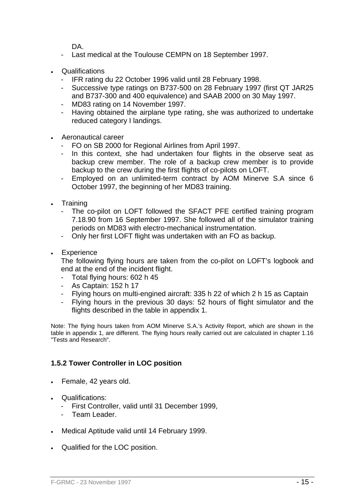DA.

- Last medical at the Toulouse CEMPN on 18 September 1997.
- **Qualifications** 
	- IFR rating du 22 October 1996 valid until 28 February 1998.
	- Successive type ratings on B737-500 on 28 February 1997 (first QT JAR25 and B737-300 and 400 equivalence) and SAAB 2000 on 30 May 1997.
	- MD83 rating on 14 November 1997.
	- Having obtained the airplane type rating, she was authorized to undertake reduced category I landings.
- Aeronautical career
	- FO on SB 2000 for Regional Airlines from April 1997.
	- In this context, she had undertaken four flights in the observe seat as backup crew member. The role of a backup crew member is to provide backup to the crew during the first flights of co-pilots on LOFT.
	- Employed on an unlimited-term contract by AOM Minerve S.A since 6 October 1997, the beginning of her MD83 training.
- Training
	- The co-pilot on LOFT followed the SFACT PFE certified training program 7.18.90 from 16 September 1997. She followed all of the simulator training periods on MD83 with electro-mechanical instrumentation.
	- Only her first LOFT flight was undertaken with an FO as backup.
- Experience

The following flying hours are taken from the co-pilot on LOFT's logbook and end at the end of the incident flight.

- Total flying hours: 602 h 45
- As Captain: 152 h 17
- Flying hours on multi-engined aircraft: 335 h 22 of which 2 h 15 as Captain
- Flying hours in the previous 30 days: 52 hours of flight simulator and the flights described in the table in appendix 1.

Note: The flying hours taken from AOM Minerve S.A.'s Activity Report, which are shown in the table in appendix 1, are different. The flying hours really carried out are calculated in chapter 1.16 "Tests and Research".

### **1.5.2 Tower Controller in LOC position**

- Female, 42 years old.
- Qualifications:
	- First Controller, valid until 31 December 1999,
	- Team Leader.
- Medical Aptitude valid until 14 February 1999.
- Qualified for the LOC position.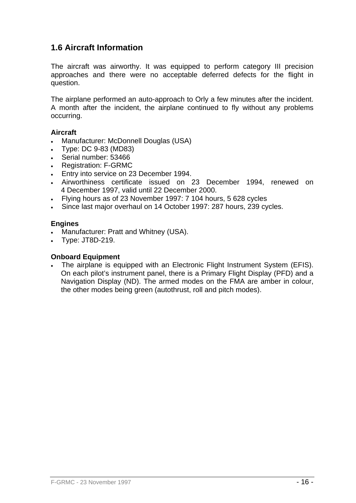# **1.6 Aircraft Information**

The aircraft was airworthy. It was equipped to perform category III precision approaches and there were no acceptable deferred defects for the flight in question.

The airplane performed an auto-approach to Orly a few minutes after the incident. A month after the incident, the airplane continued to fly without any problems occurring.

### **Aircraft**

- Manufacturer: McDonnell Douglas (USA)
- Type: DC 9-83 (MD83)
- Serial number: 53466
- Registration: F-GRMC
- Entry into service on 23 December 1994.
- Airworthiness certificate issued on 23 December 1994, renewed on 4 December 1997, valid until 22 December 2000.
- Flying hours as of 23 November 1997: 7 104 hours, 5 628 cycles
- Since last major overhaul on 14 October 1997: 287 hours, 239 cycles.

#### **Engines**

- Manufacturer: Pratt and Whitney (USA).
- Type: JT8D-219.

### **Onboard Equipment**

• The airplane is equipped with an Electronic Flight Instrument System (EFIS). On each pilot's instrument panel, there is a Primary Flight Display (PFD) and a Navigation Display (ND). The armed modes on the FMA are amber in colour, the other modes being green (autothrust, roll and pitch modes).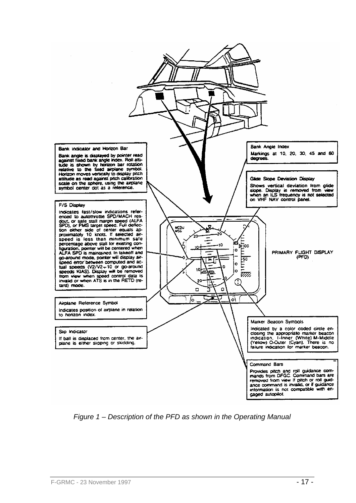

*Figure 1 – Description of the PFD as shown in the Operating Manual*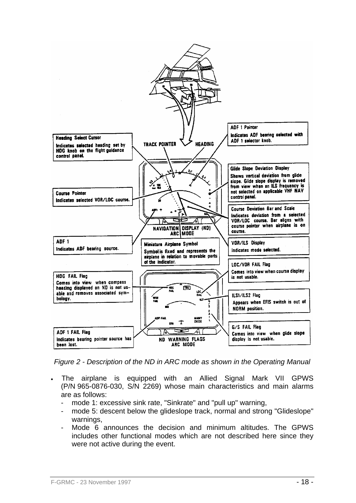

*Figure 2 - Description of the ND in ARC mode as shown in the Operating Manual* 

- The airplane is equipped with an Allied Signal Mark VII GPWS (P/N 965-0876-030, S/N 2269) whose main characteristics and main alarms are as follows:
	- mode 1: excessive sink rate, "Sinkrate" and "pull up" warning,
	- mode 5: descent below the glideslope track, normal and strong "Glideslope" warnings,
	- Mode 6 announces the decision and minimum altitudes. The GPWS includes other functional modes which are not described here since they were not active during the event.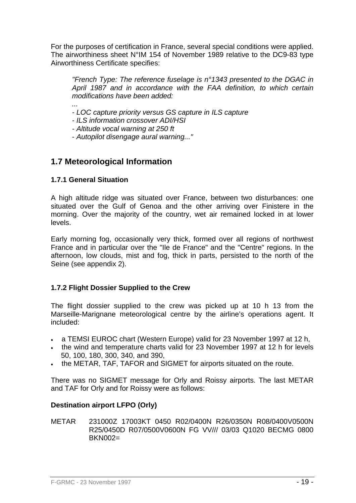For the purposes of certification in France, several special conditions were applied. The airworthiness sheet N°IM 154 of November 1989 relative to the DC9-83 type Airworthiness Certificate specifies:

*"French Type: The reference fuselage is n°1343 presented to the DGAC in April 1987 and in accordance with the FAA definition, to which certain modifications have been added:* 

*...* 

*- LOC capture priority versus GS capture in ILS capture* 

*- ILS information crossover ADI/HSI* 

*- Altitude vocal warning at 250 ft* 

- *Autopilot disengage aural warning..."* 

# **1.7 Meteorological Information**

### **1.7.1 General Situation**

A high altitude ridge was situated over France, between two disturbances: one situated over the Gulf of Genoa and the other arriving over Finistere in the morning. Over the majority of the country, wet air remained locked in at lower levels.

Early morning fog, occasionally very thick, formed over all regions of northwest France and in particular over the "Ile de France" and the "Centre" regions. In the afternoon, low clouds, mist and fog, thick in parts, persisted to the north of the Seine (see appendix 2).

### **1.7.2 Flight Dossier Supplied to the Crew**

The flight dossier supplied to the crew was picked up at 10 h 13 from the Marseille-Marignane meteorological centre by the airline's operations agent. It included:

- a TEMSI EUROC chart (Western Europe) valid for 23 November 1997 at 12 h,
- the wind and temperature charts valid for 23 November 1997 at 12 h for levels 50, 100, 180, 300, 340, and 390,
- the METAR, TAF, TAFOR and SIGMET for airports situated on the route.

There was no SIGMET message for Orly and Roissy airports. The last METAR and TAF for Orly and for Roissy were as follows:

### **Destination airport LFPO (Orly)**

METAR 231000Z 17003KT 0450 R02/0400N R26/0350N R08/0400V0500N R25/0450D R07/0500V0600N FG VV/// 03/03 Q1020 BECMG 0800  $BKN002=$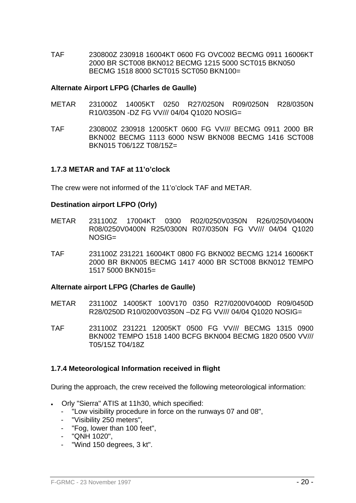TAF 230800Z 230918 16004KT 0600 FG OVC002 BECMG 0911 16006KT 2000 BR SCT008 BKN012 BECMG 1215 5000 SCT015 BKN050 BECMG 1518 8000 SCT015 SCT050 BKN100=

#### **Alternate Airport LFPG (Charles de Gaulle)**

- METAR 231000Z 14005KT 0250 R27/0250N R09/0250N R28/0350N R10/0350N -DZ FG VV/// 04/04 Q1020 NOSIG=
- TAF 230800Z 230918 12005KT 0600 FG VV/// BECMG 0911 2000 BR BKN002 BECMG 1113 6000 NSW BKN008 BECMG 1416 SCT008 BKN015 T06/12Z T08/15Z=

#### **1.7.3 METAR and TAF at 11'o'clock**

The crew were not informed of the 11'o'clock TAF and METAR.

#### **Destination airport LFPO (Orly)**

- METAR 231100Z 17004KT 0300 R02/0250V0350N R26/0250V0400N R08/0250V0400N R25/0300N R07/0350N FG VV/// 04/04 Q1020 NOSIG=
- TAF 231100Z 231221 16004KT 0800 FG BKN002 BECMG 1214 16006KT 2000 BR BKN005 BECMG 1417 4000 BR SCT008 BKN012 TEMPO 1517 5000 BKN015=

#### **Alternate airport LFPG (Charles de Gaulle)**

- METAR 231100Z 14005KT 100V170 0350 R27/0200V0400D R09/0450D R28/0250D R10/0200V0350N –DZ FG VV/// 04/04 Q1020 NOSIG=
- TAF 231100Z 231221 12005KT 0500 FG VV/// BECMG 1315 0900 BKN002 TEMPO 1518 1400 BCFG BKN004 BECMG 1820 0500 VV/// T05/15Z T04/18Z

#### **1.7.4 Meteorological Information received in flight**

During the approach, the crew received the following meteorological information:

- Orly "Sierra" ATIS at 11h30, which specified:
	- "Low visibility procedure in force on the runways 07 and 08",
	- "Visibility 250 meters",
	- "Fog, lower than 100 feet".
	- "QNH 1020",
	- "Wind 150 degrees, 3 kt".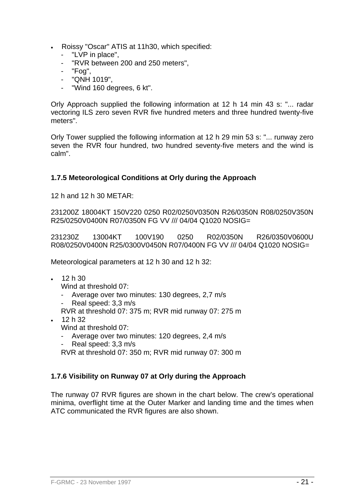- Roissy "Oscar" ATIS at 11h30, which specified:
	- "LVP in place",
	- "RVR between 200 and 250 meters".
	- "Fog",
	- "QNH 1019",
	- "Wind 160 degrees, 6 kt".

Orly Approach supplied the following information at 12 h 14 min 43 s: "... radar vectoring ILS zero seven RVR five hundred meters and three hundred twenty-five meters".

Orly Tower supplied the following information at 12 h 29 min 53 s: "... runway zero seven the RVR four hundred, two hundred seventy-five meters and the wind is calm".

### **1.7.5 Meteorological Conditions at Orly during the Approach**

12 h and 12 h 30 METAR:

231200Z 18004KT 150V220 0250 R02/0250V0350N R26/0350N R08/0250V350N R25/0250V0400N R07/0350N FG VV /// 04/04 Q1020 NOSIG=

231230Z 13004KT 100V190 0250 R02/0350N R26/0350V0600U R08/0250V0400N R25/0300V0450N R07/0400N FG VV /// 04/04 Q1020 NOSIG=

Meteorological parameters at 12 h 30 and 12 h 32:

• 12 h 30

Wind at threshold 07:

- Average over two minutes: 130 degrees, 2,7 m/s
- Real speed: 3,3 m/s
- RVR at threshold 07: 375 m; RVR mid runway 07: 275 m
- 12 h 32 Wind at threshold 07:
	- Average over two minutes: 120 degrees, 2,4 m/s
	- Real speed: 3,3 m/s
	- RVR at threshold 07: 350 m; RVR mid runway 07: 300 m

### **1.7.6 Visibility on Runway 07 at Orly during the Approach**

The runway 07 RVR figures are shown in the chart below. The crew's operational minima, overflight time at the Outer Marker and landing time and the times when ATC communicated the RVR figures are also shown.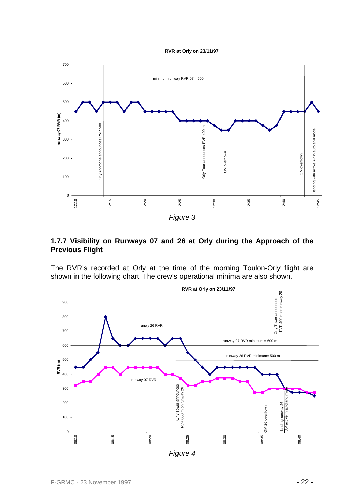



### **1.7.7 Visibility on Runways 07 and 26 at Orly during the Approach of the Previous Flight**

The RVR's recorded at Orly at the time of the morning Toulon-Orly flight are shown in the following chart. The crew's operational minima are also shown.

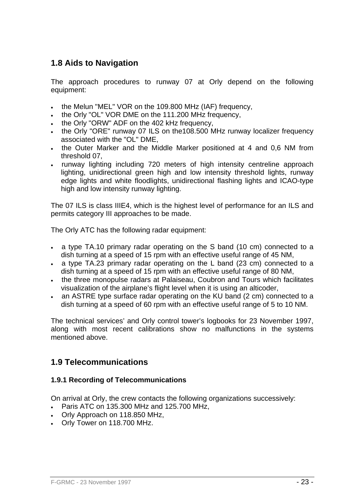# **1.8 Aids to Navigation**

The approach procedures to runway 07 at Orly depend on the following equipment:

- the Melun "MEL" VOR on the 109.800 MHz (IAF) frequency,
- the Orly "OL" VOR DME on the 111.200 MHz frequency,
- the Orly "ORW" ADF on the 402 kHz frequency,
- the Orly "ORE" runway 07 ILS on the 108.500 MHz runway localizer frequency associated with the "OL" DME,
- the Outer Marker and the Middle Marker positioned at 4 and 0,6 NM from threshold 07,
- runway lighting including 720 meters of high intensity centreline approach lighting, unidirectional green high and low intensity threshold lights, runway edge lights and white floodlights, unidirectional flashing lights and ICAO-type high and low intensity runway lighting.

The 07 ILS is class IIIE4, which is the highest level of performance for an ILS and permits category III approaches to be made.

The Orly ATC has the following radar equipment:

- a type TA.10 primary radar operating on the S band (10 cm) connected to a dish turning at a speed of 15 rpm with an effective useful range of 45 NM,
- a type TA.23 primary radar operating on the L band (23 cm) connected to a dish turning at a speed of 15 rpm with an effective useful range of 80 NM.
- the three monopulse radars at Palaiseau, Coubron and Tours which facilitates visualization of the airplane's flight level when it is using an alticoder,
- an ASTRE type surface radar operating on the KU band (2 cm) connected to a dish turning at a speed of 60 rpm with an effective useful range of 5 to 10 NM.

The technical services' and Orly control tower's logbooks for 23 November 1997, along with most recent calibrations show no malfunctions in the systems mentioned above.

# **1.9 Telecommunications**

### **1.9.1 Recording of Telecommunications**

On arrival at Orly, the crew contacts the following organizations successively:

- Paris ATC on 135.300 MHz and 125.700 MHz,
- Orly Approach on 118.850 MHz,
- Orly Tower on 118.700 MHz.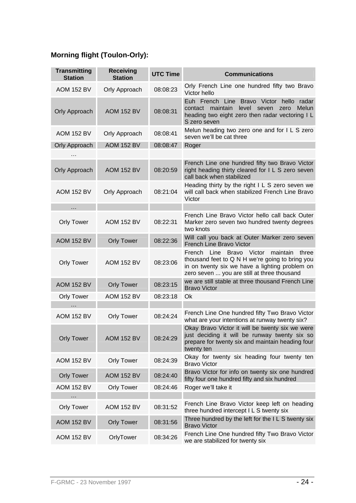# **Morning flight (Toulon-Orly):**

| <b>Transmitting</b><br><b>Station</b> | <b>Receiving</b><br><b>Station</b> | <b>UTC Time</b> | <b>Communications</b>                                                                                                                                                                             |
|---------------------------------------|------------------------------------|-----------------|---------------------------------------------------------------------------------------------------------------------------------------------------------------------------------------------------|
| <b>AOM 152 BV</b>                     | Orly Approach                      | 08:08:23        | Orly French Line one hundred fifty two Bravo<br>Victor hello                                                                                                                                      |
| <b>Orly Approach</b>                  | <b>AOM 152 BV</b>                  | 08:08:31        | Euh French Line Bravo Victor<br>hello<br>radar<br>contact maintain<br>level seven<br><b>Melun</b><br>zero<br>heading two eight zero then radar vectoring I L<br>S zero seven                      |
| <b>AOM 152 BV</b>                     | Orly Approach                      | 08:08:41        | Melun heading two zero one and for I L S zero<br>seven we'll be cat three                                                                                                                         |
| <b>Orly Approach</b>                  | <b>AOM 152 BV</b>                  | 08:08:47        | Roger                                                                                                                                                                                             |
| $\cdots$                              |                                    |                 |                                                                                                                                                                                                   |
| <b>Orly Approach</b>                  | <b>AOM 152 BV</b>                  | 08:20:59        | French Line one hundred fifty two Bravo Victor<br>right heading thirty cleared for I L S zero seven<br>call back when stabilized                                                                  |
| <b>AOM 152 BV</b>                     | Orly Approach                      | 08:21:04        | Heading thirty by the right I L S zero seven we<br>will call back when stabilized French Line Bravo<br>Victor                                                                                     |
| .                                     |                                    |                 |                                                                                                                                                                                                   |
| <b>Orly Tower</b>                     | <b>AOM 152 BV</b>                  | 08:22:31        | French Line Bravo Victor hello call back Outer<br>Marker zero seven two hundred twenty degrees<br>two knots                                                                                       |
| <b>AOM 152 BV</b>                     | <b>Orly Tower</b>                  | 08:22:36        | Will call you back at Outer Marker zero seven<br>French Line Bravo Victor                                                                                                                         |
| <b>Orly Tower</b>                     | <b>AOM 152 BV</b>                  | 08:23:06        | French Line Bravo Victor<br>maintain<br>three<br>thousand feet to Q N H we're going to bring you<br>in on twenty six we have a lighting problem on<br>zero seven  you are still at three thousand |
| <b>AOM 152 BV</b>                     | <b>Orly Tower</b>                  | 08:23:15        | we are still stable at three thousand French Line<br><b>Bravo Victor</b>                                                                                                                          |
| <b>Orly Tower</b>                     | <b>AOM 152 BV</b>                  | 08:23:18        | Ok                                                                                                                                                                                                |
| .                                     |                                    |                 |                                                                                                                                                                                                   |
| <b>AOM 152 BV</b>                     | <b>Orly Tower</b>                  | 08:24:24        | French Line One hundred fifty Two Bravo Victor<br>what are your intentions at runway twenty six?                                                                                                  |
| <b>Orly Tower</b>                     | <b>AOM 152 BV</b>                  | 08:24:29        | Okay Bravo Victor it will be twenty six we were<br>just deciding it will be runway twenty six so<br>prepare for twenty six and maintain heading four<br>twenty ten                                |
| <b>AOM 152 BV</b>                     | <b>Orly Tower</b>                  | 08:24:39        | Okay for twenty six heading four twenty ten<br><b>Bravo Victor</b>                                                                                                                                |
| <b>Orly Tower</b>                     | <b>AOM 152 BV</b>                  | 08:24:40        | Bravo Victor for info on twenty six one hundred<br>fifty four one hundred fifty and six hundred                                                                                                   |
| <b>AOM 152 BV</b>                     | <b>Orly Tower</b>                  | 08:24:46        | Roger we'll take it                                                                                                                                                                               |
| .                                     |                                    |                 |                                                                                                                                                                                                   |
| <b>Orly Tower</b>                     | <b>AOM 152 BV</b>                  | 08:31:52        | French Line Bravo Victor keep left on heading<br>three hundred intercept I L S twenty six                                                                                                         |
| <b>AOM 152 BV</b>                     | <b>Orly Tower</b>                  | 08:31:56        | Three hundred by the left for the ILS twenty six<br><b>Bravo Victor</b>                                                                                                                           |
| <b>AOM 152 BV</b>                     | OrlyTower                          | 08:34:26        | French Line One hundred fifty Two Bravo Victor<br>we are stabilized for twenty six                                                                                                                |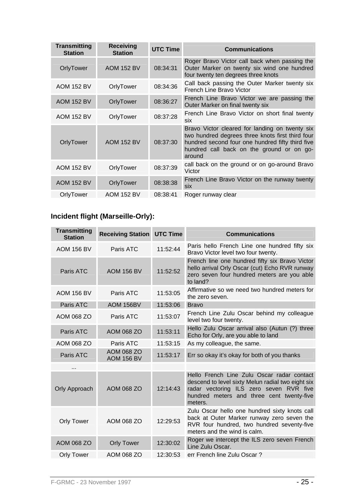| <b>Transmitting</b><br><b>Station</b> | <b>Receiving</b><br><b>Station</b> | <b>UTC Time</b> | <b>Communications</b>                                                                                                                                                                                         |
|---------------------------------------|------------------------------------|-----------------|---------------------------------------------------------------------------------------------------------------------------------------------------------------------------------------------------------------|
| OrlyTower                             | <b>AOM 152 BV</b>                  | 08:34:31        | Roger Bravo Victor call back when passing the<br>Outer Marker on twenty six wind one hundred<br>four twenty ten degrees three knots                                                                           |
| <b>AOM 152 BV</b>                     | OrlyTower                          | 08:34:36        | Call back passing the Outer Marker twenty six<br>French Line Bravo Victor                                                                                                                                     |
| <b>AOM 152 BV</b>                     | OrlyTower                          | 08:36:27        | French Line Bravo Victor we are passing the<br>Outer Marker on final twenty six                                                                                                                               |
| <b>AOM 152 BV</b>                     | OrlyTower                          | 08:37:28        | French Line Bravo Victor on short final twenty<br><b>Six</b>                                                                                                                                                  |
| OrlyTower                             | <b>AOM 152 BV</b>                  | 08:37:30        | Bravo Victor cleared for landing on twenty six<br>two hundred degrees three knots first third four<br>hundred second four one hundred fifty third five<br>hundred call back on the ground or on go-<br>around |
| <b>AOM 152 BV</b>                     | OrlyTower                          | 08:37:39        | call back on the ground or on go-around Bravo<br>Victor                                                                                                                                                       |
| <b>AOM 152 BV</b>                     | OrlyTower                          | 08:38:38        | French Line Bravo Victor on the runway twenty<br>six                                                                                                                                                          |
| OrlyTower                             | <b>AOM 152 BV</b>                  | 08:38:41        | Roger runway clear                                                                                                                                                                                            |

# **Incident flight (Marseille-Orly):**

| <b>Transmitting</b><br><b>Station</b> | <b>Receiving Station UTC Time</b> |          | <b>Communications</b>                                                                                                                                                                              |
|---------------------------------------|-----------------------------------|----------|----------------------------------------------------------------------------------------------------------------------------------------------------------------------------------------------------|
| <b>AOM 156 BV</b>                     | Paris ATC                         | 11:52:44 | Paris hello French Line one hundred fifty six<br>Bravo Victor level two four twenty.                                                                                                               |
| Paris ATC                             | <b>AOM 156 BV</b>                 | 11:52:52 | French line one hundred fifty six Bravo Victor<br>hello arrival Orly Oscar (cut) Echo RVR runway<br>zero seven four hundred meters are you able<br>to land?                                        |
| <b>AOM 156 BV</b>                     | Paris ATC                         | 11:53:05 | Affirmative so we need two hundred meters for<br>the zero seven.                                                                                                                                   |
| Paris ATC                             | AOM 156BV                         | 11:53:06 | <b>Bravo</b>                                                                                                                                                                                       |
| AOM 068 ZO                            | Paris ATC                         | 11:53:07 | French Line Zulu Oscar behind my colleague<br>level two four twenty.                                                                                                                               |
| Paris ATC                             | AOM 068 ZO                        | 11:53:11 | Hello Zulu Oscar arrival also (Autun (?) three<br>Echo for Orly, are you able to land                                                                                                              |
| AOM 068 ZO                            | Paris ATC                         | 11:53:15 | As my colleague, the same.                                                                                                                                                                         |
| Paris ATC                             | AOM 068 ZO<br><b>AOM 156 BV</b>   | 11:53:17 | Err so okay it's okay for both of you thanks                                                                                                                                                       |
|                                       |                                   |          |                                                                                                                                                                                                    |
| <b>Orly Approach</b>                  | AOM 068 ZO                        | 12:14:43 | Hello French Line Zulu Oscar radar contact<br>descend to level sixty Melun radial two eight six<br>radar vectoring ILS zero seven RVR five<br>hundred meters and three cent twenty-five<br>meters. |
| <b>Orly Tower</b>                     | AOM 068 ZO                        | 12:29:53 | Zulu Oscar hello one hundred sixty knots call<br>back at Outer Marker runway zero seven the<br>RVR four hundred, two hundred seventy-five<br>meters and the wind is calm.                          |
| AOM 068 ZO                            | <b>Orly Tower</b>                 | 12:30:02 | Roger we intercept the ILS zero seven French<br>Line Zulu Oscar.                                                                                                                                   |
| <b>Orly Tower</b>                     | AOM 068 ZO                        | 12:30:53 | err French line Zulu Oscar?                                                                                                                                                                        |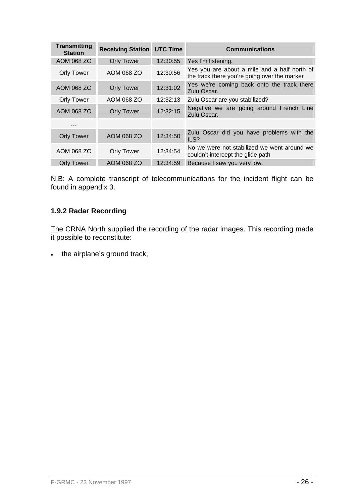| <b>Transmitting</b><br><b>Station</b> | <b>Receiving Station UTC Time</b> |          | <b>Communications</b>                                                                        |
|---------------------------------------|-----------------------------------|----------|----------------------------------------------------------------------------------------------|
| AOM 068 ZO                            | <b>Orly Tower</b>                 | 12:30:55 | Yes I'm listening.                                                                           |
| <b>Orly Tower</b>                     | AOM 068 ZO                        | 12:30:56 | Yes you are about a mile and a half north of<br>the track there you're going over the marker |
| AOM 068 ZO                            | <b>Orly Tower</b>                 | 12:31:02 | Yes we're coming back onto the track there<br>Zulu Oscar.                                    |
| <b>Orly Tower</b>                     | AOM 068 ZO                        | 12:32:13 | Zulu Oscar are you stabilized?                                                               |
| AOM 068 ZO                            | <b>Orly Tower</b>                 | 12:32:15 | Negative we are going around French Line<br>Zulu Oscar.                                      |
| .                                     |                                   |          |                                                                                              |
| <b>Orly Tower</b>                     | AOM 068 ZO                        | 12:34:50 | Zulu Oscar did you have problems with the<br>ILS?                                            |
| AOM 068 ZO                            | <b>Orly Tower</b>                 | 12:34:54 | No we were not stabilized we went around we<br>couldn't intercept the glide path             |
| <b>Orly Tower</b>                     | AOM 068 ZO                        | 12:34:59 | Because I saw you very low.                                                                  |

N.B: A complete transcript of telecommunications for the incident flight can be found in appendix 3.

## **1.9.2 Radar Recording**

The CRNA North supplied the recording of the radar images. This recording made it possible to reconstitute:

• the airplane's ground track,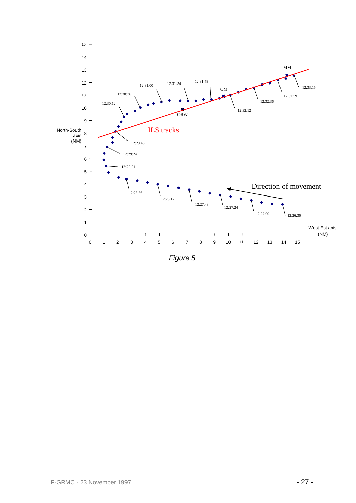

*Figure 5*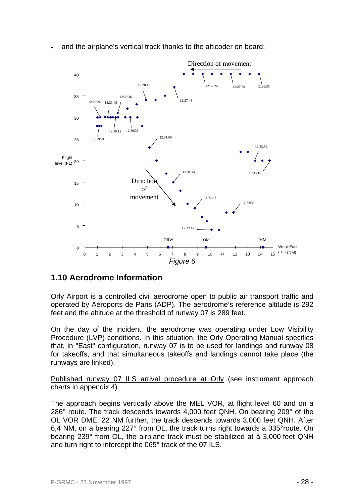

• and the airplane's vertical track thanks to the alticoder on board:

# **1.10 Aerodrome Information**

Orly Airport is a controlled civil aerodrome open to public air transport traffic and operated by Aéroports de Paris (ADP). The aerodrome's reference altitude is 292 feet and the altitude at the threshold of runway 07 is 289 feet*.*

On the day of the incident, the aerodrome was operating under Low Visibility Procedure (LVP) conditions. In this situation, the Orly Operating Manual specifies that, in "East" configuration, runway 07 is to be used for landings and runway 08 for takeoffs, and that simultaneous takeoffs and landings cannot take place (the runways are linked).

Published runway 07 ILS arrival procedure at Orly (see instrument approach charts in appendix 4)

The approach begins vertically above the MEL VOR, at flight level 60 and on a 286° route. The track descends towards 4,000 feet QNH. On bearing 209° of the OL VOR DME, 22 NM further, the track descends towards 3,000 feet QNH. After 6,4 NM, on a bearing 227° from OL, the track turns right towards a 335°route. On bearing 239° from OL, the airplane track must be stabilized at à 3,000 feet QNH and turn right to intercept the 065° track of the 07 ILS.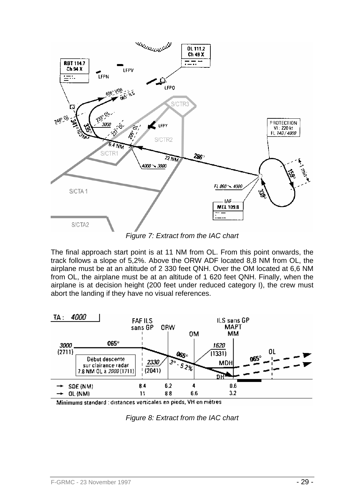

*Figure 7: Extract from the IAC chart* 

The final approach start point is at 11 NM from OL. From this point onwards, the track follows a slope of 5,2%. Above the ORW ADF located 8,8 NM from OL, the airplane must be at an altitude of 2 330 feet QNH. Over the OM located at 6,6 NM from OL, the airplane must be at an altitude of 1 620 feet QNH. Finally, when the airplane is at decision height (200 feet under reduced category I), the crew must abort the landing if they have no visual references.



Minimums standard : distances verticales en pieds, VH en mètres

*Figure 8: Extract from the IAC chart*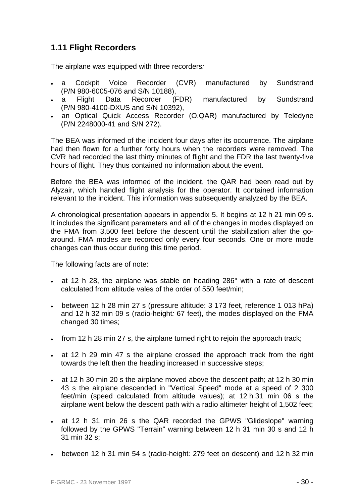# **1.11 Flight Recorders**

The airplane was equipped with three recorders*:*

- a Cockpit Voice Recorder (CVR) manufactured by Sundstrand (P/N 980-6005-076 and S/N 10188),
- a Flight Data Recorder (FDR) manufactured by Sundstrand (P/N 980-4100-DXUS and S/N 10392),
- an Optical Quick Access Recorder (O.QAR) manufactured by Teledyne (P/N 2248000-41 and S/N 272).

The BEA was informed of the incident four days after its occurrence. The airplane had then flown for a further forty hours when the recorders were removed. The CVR had recorded the last thirty minutes of flight and the FDR the last twenty-five hours of flight. They thus contained no information about the event.

Before the BEA was informed of the incident, the QAR had been read out by Alyzair, which handled flight analysis for the operator. It contained information relevant to the incident. This information was subsequently analyzed by the BEA.

A chronological presentation appears in appendix 5. It begins at 12 h 21 min 09 s. It includes the significant parameters and all of the changes in modes displayed on the FMA from 3,500 feet before the descent until the stabilization after the goaround. FMA modes are recorded only every four seconds. One or more mode changes can thus occur during this time period.

The following facts are of note:

- at 12 h 28, the airplane was stable on heading 286° with a rate of descent calculated from altitude vales of the order of 550 feet/min;
- between 12 h 28 min 27 s (pressure altitude: 3 173 feet, reference 1 013 hPa) and 12 h 32 min 09 s (radio-height*:* 67 feet), the modes displayed on the FMA changed 30 times;
- from 12 h 28 min 27 s, the airplane turned right to rejoin the approach track;
- at 12 h 29 min 47 s the airplane crossed the approach track from the right towards the left then the heading increased in successive steps;
- at 12 h 30 min 20 s the airplane moved above the descent path; at 12 h 30 min 43 s the airplane descended in "Vertical Speed" mode at a speed of 2 300 feet/min (speed calculated from altitude values); at 12 h 31 min 06 s the airplane went below the descent path with a radio altimeter height of 1,502 feet;
- at 12 h 31 min 26 s the QAR recorded the GPWS "Glideslope" warning followed by the GPWS "Terrain" warning between 12 h 31 min 30 s and 12 h 31 min 32 s;
- between 12 h 31 min 54 s (radio-height*:* 279 feet on descent) and 12 h 32 min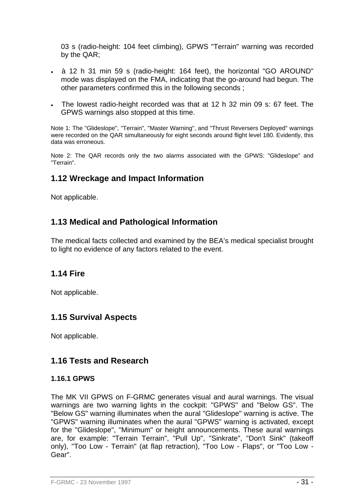03 s (radio-height: 104 feet climbing), GPWS "Terrain" warning was recorded by the QAR;

- à 12 h 31 min 59 s (radio-height: 164 feet), the horizontal "GO AROUND" mode was displayed on the FMA, indicating that the go-around had begun. The other parameters confirmed this in the following seconds ;
- The lowest radio-height recorded was that at 12 h 32 min 09 s*:* 67 feet. The GPWS warnings also stopped at this time.

Note 1: The "Glideslope", "Terrain", "Master Warning", and "Thrust Reversers Deployed" warnings were recorded on the QAR simultaneously for eight seconds around flight level 180. Evidently, this data was erroneous.

Note 2: The QAR records only the two alarms associated with the GPWS: "Glideslope" and "Terrain".

# **1.12 Wreckage and Impact Information**

Not applicable.

# **1.13 Medical and Pathological Information**

The medical facts collected and examined by the BEA's medical specialist brought to light no evidence of any factors related to the event.

## **1.14 Fire**

Not applicable.

# **1.15 Survival Aspects**

Not applicable.

## **1.16 Tests and Research**

#### **1.16.1 GPWS**

The MK VII GPWS on F-GRMC generates visual and aural warnings. The visual warnings are two warning lights in the cockpit: "GPWS" and "Below GS". The "Below GS" warning illuminates when the aural "Glideslope" warning is active. The "GPWS" warning illuminates when the aural "GPWS" warning is activated, except for the "Glideslope", "Minimum" or height announcements. These aural warnings are, for example: "Terrain Terrain", "Pull Up", "Sinkrate", "Don't Sink" (takeoff only), "Too Low - Terrain" (at flap retraction), "Too Low - Flaps", or "Too Low - Gear".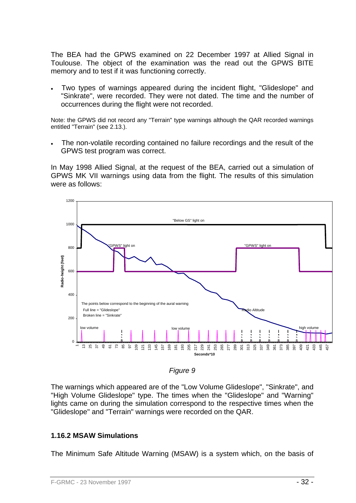The BEA had the GPWS examined on 22 December 1997 at Allied Signal in Toulouse. The object of the examination was the read out the GPWS BITE memory and to test if it was functioning correctly.

• Two types of warnings appeared during the incident flight, "Glideslope" and "Sinkrate", were recorded. They were not dated. The time and the number of occurrences during the flight were not recorded.

Note: the GPWS did not record any "Terrain" type warnings although the QAR recorded warnings entitled "Terrain" (see 2.13.).

The non-volatile recording contained no failure recordings and the result of the GPWS test program was correct.

In May 1998 Allied Signal, at the request of the BEA, carried out a simulation of GPWS MK VII warnings using data from the flight. The results of this simulation were as follows:



*Figure 9* 

The warnings which appeared are of the "Low Volume Glideslope", "Sinkrate", and "High Volume Glideslope" type. The times when the "Glideslope" and "Warning" lights came on during the simulation correspond to the respective times when the "Glideslope" and "Terrain" warnings were recorded on the QAR.

### **1.16.2 MSAW Simulations**

The Minimum Safe Altitude Warning (MSAW) is a system which, on the basis of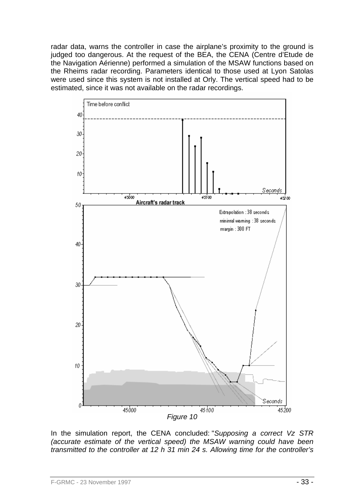radar data, warns the controller in case the airplane's proximity to the ground is judged too dangerous. At the request of the BEA, the CENA (Centre d'Etude de the Navigation Aérienne) performed a simulation of the MSAW functions based on the Rheims radar recording. Parameters identical to those used at Lyon Satolas were used since this system is not installed at Orly. The vertical speed had to be estimated, since it was not available on the radar recordings.



In the simulation report, the CENA concluded: "*Supposing a correct Vz STR (accurate estimate of the vertical speed) the MSAW warning could have been transmitted to the controller at 12 h 31 min 24 s. Allowing time for the controller's*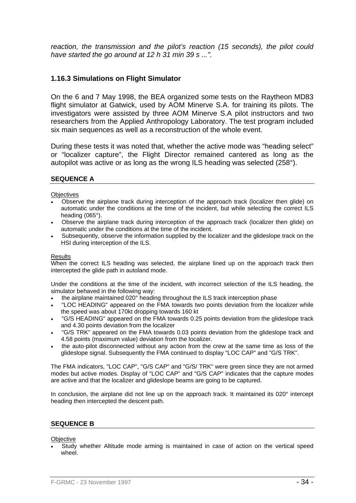*reaction, the transmission and the pilot's reaction (15 seconds), the pilot could have started the go around at 12 h 31 min 39 s ...".* 

#### **1.16.3 Simulations on Flight Simulator**

On the 6 and 7 May 1998, the BEA organized some tests on the Raytheon MD83 flight simulator at Gatwick, used by AOM Minerve S.A. for training its pilots. The investigators were assisted by three AOM Minerve S.A pilot instructors and two researchers from the Applied Anthropology Laboratory. The test program included six main sequences as well as a reconstruction of the whole event.

During these tests it was noted that, whether the active mode was "heading select" or "localizer capture", the Flight Director remained cantered as long as the autopilot was active or as long as the wrong ILS heading was selected (258°).

#### **SEQUENCE A**

#### **Objectives**

- Observe the airplane track during interception of the approach track (localizer then glide) on automatic under the conditions at the time of the incident, but while selecting the correct ILS heading (065°).
- Observe the airplane track during interception of the approach track (localizer then glide) on automatic under the conditions at the time of the incident.
- Subsequently, observe the information supplied by the localizer and the glideslope track on the HSI during interception of the ILS.

#### Results

When the correct ILS heading was selected, the airplane lined up on the approach track then intercepted the glide path in autoland mode.

Under the conditions at the time of the incident, with incorrect selection of the ILS heading, the simulator behaved in the following way:

- the airplane maintained 020° heading throughout the ILS track interception phase
- "LOC HEADING" appeared on the FMA towards two points deviation from the localizer while the speed was about 170kt dropping towards 160 kt
- "G/S HEADING" appeared on the FMA towards 0.25 points deviation from the glideslope track and 4.30 points deviation from the localizer
- "G/S TRK" appeared on the FMA towards 0.03 points deviation from the glideslope track and 4.58 points (maximum value) deviation from the localizer.
- the auto-pilot disconnected without any action from the crew at the same time as loss of the glideslope signal. Subsequently the FMA continued to display "LOC CAP" and "G/S TRK".

The FMA indicators, "LOC CAP", "G/S CAP" and "G/S/ TRK" were green since they are not armed modes but active modes. Display of "LOC CAP" and "G/S CAP" indicates that the capture modes are active and that the localizer and glideslope beams are going to be captured.

In conclusion, the airplane did not line up on the approach track. It maintained its 020° intercept heading then intercepted the descent path.

#### **SEQUENCE B**

**Objective** 

• Study whether Altitude mode arming is maintained in case of action on the vertical speed wheel.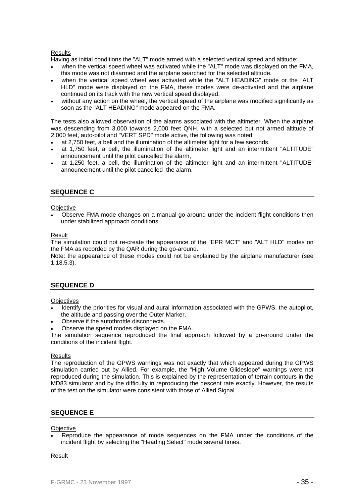#### **Results**

Having as initial conditions the "ALT" mode armed with a selected vertical speed and altitude:

- when the vertical speed wheel was activated while the "ALT" mode was displayed on the FMA, this mode was not disarmed and the airplane searched for the selected altitude.
- when the vertical speed wheel was activated while the "ALT HEADING" mode or the "ALT HLD" mode were displayed on the FMA, these modes were de-activated and the airplane continued on its track with the new vertical speed displayed.
- without any action on the wheel, the vertical speed of the airplane was modified significantly as soon as the "ALT HEADING" mode appeared on the FMA.

The tests also allowed observation of the alarms associated with the altimeter. When the airplane was descending from 3,000 towards 2,000 feet QNH, with a selected but not armed altitude of 2,000 feet, auto-pilot and "VERT SPD" mode active, the following was noted:

• at 2,750 feet, a bell and the illumination of the altimeter light for a few seconds,

- at 1,750 feet, a bell, the illumination of the altimeter light and an intermittent "ALTITUDE" announcement until the pilot cancelled the alarm,
- at 1,250 feet, a bell, the illumination of the altimeter light and an intermittent "ALTITUDE" announcement until the pilot cancelled the alarm.

#### **SEQUENCE C**

#### **Objective**

• Observe FMA mode changes on a manual go-around under the incident flight conditions then under stabilized approach conditions.

#### Result

The simulation could not re-create the appearance of the "EPR MCT" and "ALT HLD" modes on the FMA as recorded by the QAR during the go-around.

Note: the appearance of these modes could not be explained by the airplane manufacturer (see 1.18.5.3).

#### **SEQUENCE D**

#### **Objectives**

- Identify the priorities for visual and aural information associated with the GPWS, the autopilot, the altitude and passing over the Outer Marker.
- Observe if the autothrottle disconnects.
- Observe the speed modes displayed on the FMA.

The simulation sequence reproduced the final approach followed by a go-around under the conditions of the incident flight.

#### **Results**

The reproduction of the GPWS warnings was not exactly that which appeared during the GPWS simulation carried out by Allied. For example, the "High Volume Glideslope" warnings were not reproduced during the simulation. This is explained by the representation of terrain contours in the MD83 simulator and by the difficulty in reproducing the descent rate exactly. However, the results of the test on the simulator were consistent with those of Allied Signal.

#### **SEQUENCE E**

#### **Objective**

• Reproduce the appearance of mode sequences on the FMA under the conditions of the incident flight by selecting the "Heading Select" mode several times.

#### Result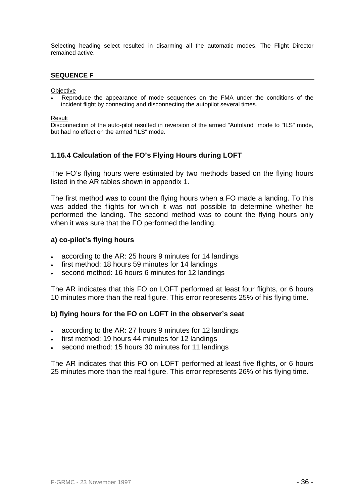Selecting heading select resulted in disarming all the automatic modes. The Flight Director remained active.

#### **SEQUENCE F**

**Objective** 

• Reproduce the appearance of mode sequences on the FMA under the conditions of the incident flight by connecting and disconnecting the autopilot several times.

Result

Disconnection of the auto-pilot resulted in reversion of the armed "Autoland" mode to "ILS" mode, but had no effect on the armed "ILS" mode.

### **1.16.4 Calculation of the FO's Flying Hours during LOFT**

The FO's flying hours were estimated by two methods based on the flying hours listed in the AR tables shown in appendix 1.

The first method was to count the flying hours when a FO made a landing. To this was added the flights for which it was not possible to determine whether he performed the landing. The second method was to count the flying hours only when it was sure that the FO performed the landing.

#### **a) co-pilot's flying hours**

- according to the AR: 25 hours 9 minutes for 14 landings
- first method: 18 hours 59 minutes for 14 landings
- second method: 16 hours 6 minutes for 12 landings

The AR indicates that this FO on LOFT performed at least four flights, or 6 hours 10 minutes more than the real figure. This error represents 25% of his flying time.

#### **b) flying hours for the FO on LOFT in the observer's seat**

- according to the AR: 27 hours 9 minutes for 12 landings
- first method: 19 hours 44 minutes for 12 landings
- second method: 15 hours 30 minutes for 11 landings

The AR indicates that this FO on LOFT performed at least five flights, or 6 hours 25 minutes more than the real figure. This error represents 26% of his flying time.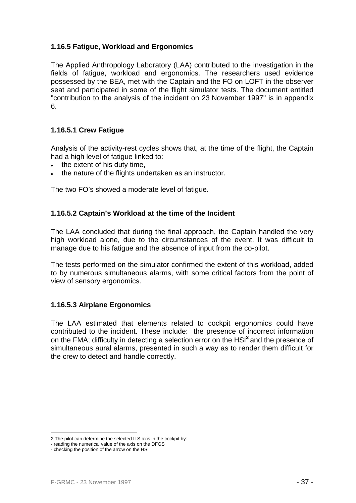#### **1.16.5 Fatigue, Workload and Ergonomics**

The Applied Anthropology Laboratory (LAA) contributed to the investigation in the fields of fatigue, workload and ergonomics. The researchers used evidence possessed by the BEA, met with the Captain and the FO on LOFT in the observer seat and participated in some of the flight simulator tests. The document entitled "contribution to the analysis of the incident on 23 November 1997" is in appendix 6.

#### **1.16.5.1 Crew Fatigue**

Analysis of the activity-rest cycles shows that, at the time of the flight, the Captain had a high level of fatigue linked to:

- the extent of his duty time,
- the nature of the flights undertaken as an instructor.

The two FO's showed a moderate level of fatigue.

#### **1.16.5.2 Captain's Workload at the time of the Incident**

The LAA concluded that during the final approach, the Captain handled the very high workload alone, due to the circumstances of the event. It was difficult to manage due to his fatigue and the absence of input from the co-pilot.

The tests performed on the simulator confirmed the extent of this workload, added to by numerous simultaneous alarms, with some critical factors from the point of view of sensory ergonomics.

#### **1.16.5.3 Airplane Ergonomics**

The LAA estimated that elements related to cockpit ergonomics could have contributed to the incident. These include: the presence of incorrect information on the FMA; difficulty in detecting a selection error on the HSI**<sup>2</sup>**and the presence of simultaneous aural alarms, presented in such a way as to render them difficult for the crew to detect and handle correctly.

1

<sup>2</sup> The pilot can determine the selected ILS axis in the cockpit by:

<sup>-</sup> reading the numerical value of the axis on the DFGS

<sup>-</sup> checking the position of the arrow on the HSI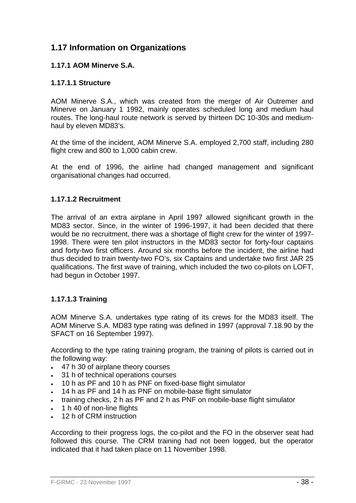## **1.17 Information on Organizations**

## **1.17.1 AOM Minerve S.A.**

## **1.17.1.1 Structure**

AOM Minerve S.A., which was created from the merger of Air Outremer and Minerve on January 1 1992, mainly operates scheduled long and medium haul routes. The long-haul route network is served by thirteen DC 10-30s and mediumhaul by eleven MD83's.

At the time of the incident, AOM Minerve S.A. employed 2,700 staff, including 280 flight crew and 800 to 1,000 cabin crew.

At the end of 1996, the airline had changed management and significant organisational changes had occurred.

#### **1.17.1.2 Recruitment**

The arrival of an extra airplane in April 1997 allowed significant growth in the MD83 sector. Since, in the winter of 1996-1997, it had been decided that there would be no recruitment, there was a shortage of flight crew for the winter of 1997- 1998. There were ten pilot instructors in the MD83 sector for forty-four captains and forty-two first officers. Around six months before the incident, the airline had thus decided to train twenty-two FO's, six Captains and undertake two first JAR 25 qualifications. The first wave of training, which included the two co-pilots on LOFT, had begun in October 1997.

## **1.17.1.3 Training**

AOM Minerve S.A. undertakes type rating of its crews for the MD83 itself. The AOM Minerve S.A. MD83 type rating was defined in 1997 (approval 7.18.90 by the SFACT on 16 September 1997).

According to the type rating training program, the training of pilots is carried out in the following way:

- 47 h 30 of airplane theory courses
- 31 h of technical operations courses
- 10 h as PF and 10 h as PNF on fixed-base flight simulator
- 14 h as PF and 14 h as PNF on mobile-base flight simulator
- training checks, 2 h as PF and 2 h as PNF on mobile-base flight simulator
- 1 h 40 of non-line flights
- 12 h of CRM instruction

According to their progress logs, the co-pilot and the FO in the observer seat had followed this course. The CRM training had not been logged, but the operator indicated that it had taken place on 11 November 1998.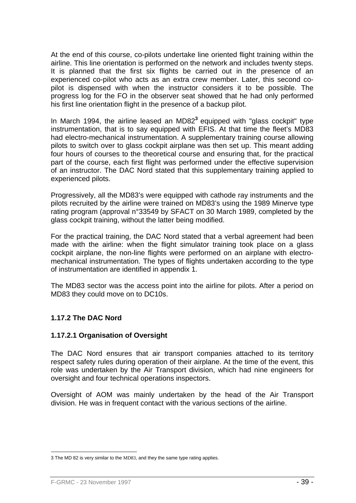At the end of this course, co-pilots undertake line oriented flight training within the airline. This line orientation is performed on the network and includes twenty steps. It is planned that the first six flights be carried out in the presence of an experienced co-pilot who acts as an extra crew member. Later, this second copilot is dispensed with when the instructor considers it to be possible. The progress log for the FO in the observer seat showed that he had only performed his first line orientation flight in the presence of a backup pilot.

In March 1994, the airline leased an MD82**<sup>3</sup>**equipped with "glass cockpit" type instrumentation, that is to say equipped with EFIS. At that time the fleet's MD83 had electro-mechanical instrumentation. A supplementary training course allowing pilots to switch over to glass cockpit airplane was then set up. This meant adding four hours of courses to the theoretical course and ensuring that, for the practical part of the course, each first flight was performed under the effective supervision of an instructor. The DAC Nord stated that this supplementary training applied to experienced pilots.

Progressively, all the MD83's were equipped with cathode ray instruments and the pilots recruited by the airline were trained on MD83's using the 1989 Minerve type rating program (approval n°33549 by SFACT on 30 March 1989, completed by the glass cockpit training, without the latter being modified.

For the practical training, the DAC Nord stated that a verbal agreement had been made with the airline: when the flight simulator training took place on a glass cockpit airplane, the non-line flights were performed on an airplane with electromechanical instrumentation. The types of flights undertaken according to the type of instrumentation are identified in appendix 1.

The MD83 sector was the access point into the airline for pilots. After a period on MD83 they could move on to DC10s.

## **1.17.2 The DAC Nord**

## **1.17.2.1 Organisation of Oversight**

The DAC Nord ensures that air transport companies attached to its territory respect safety rules during operation of their airplane. At the time of the event, this role was undertaken by the Air Transport division, which had nine engineers for oversight and four technical operations inspectors.

Oversight of AOM was mainly undertaken by the head of the Air Transport division. He was in frequent contact with the various sections of the airline.

<sup>1</sup> 3 The MD 82 is very similar to the MD83, and they the same type rating applies.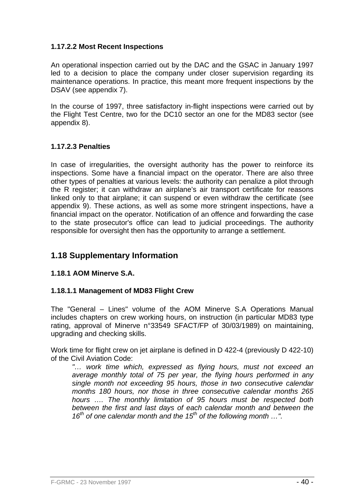## **1.17.2.2 Most Recent Inspections**

An operational inspection carried out by the DAC and the GSAC in January 1997 led to a decision to place the company under closer supervision regarding its maintenance operations. In practice, this meant more frequent inspections by the DSAV (see appendix 7).

In the course of 1997, three satisfactory in-flight inspections were carried out by the Flight Test Centre, two for the DC10 sector an one for the MD83 sector (see appendix 8).

#### **1.17.2.3 Penalties**

In case of irregularities, the oversight authority has the power to reinforce its inspections. Some have a financial impact on the operator. There are also three other types of penalties at various levels: the authority can penalize a pilot through the R register; it can withdraw an airplane's air transport certificate for reasons linked only to that airplane; it can suspend or even withdraw the certificate (see appendix 9). These actions, as well as some more stringent inspections, have a financial impact on the operator. Notification of an offence and forwarding the case to the state prosecutor's office can lead to judicial proceedings. The authority responsible for oversight then has the opportunity to arrange a settlement.

## **1.18 Supplementary Information**

## **1.18.1 AOM Minerve S.A.**

## **1.18.1.1 Management of MD83 Flight Crew**

The "General – Lines" volume of the AOM Minerve S.A Operations Manual includes chapters on crew working hours, on instruction (in particular MD83 type rating, approval of Minerve n°33549 SFACT/FP of 30/03/1989) on maintaining, upgrading and checking skills.

Work time for flight crew on jet airplane is defined in D 422-4 (previously D 422-10) of the Civil Aviation Code:

*"… work time which, expressed as flying hours, must not exceed an average monthly total of 75 per year, the flying hours performed in any single month not exceeding 95 hours, those in two consecutive calendar months 180 hours, nor those in three consecutive calendar months 265 hours …. The monthly limitation of 95 hours must be respected both between the first and last days of each calendar month and between the*  16<sup>th</sup> of one calendar month and the 15<sup>th</sup> of the following month ...".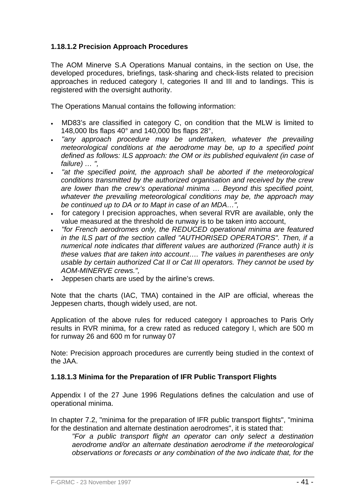## **1.18.1.2 Precision Approach Procedures**

The AOM Minerve S.A Operations Manual contains, in the section on Use, the developed procedures, briefings, task-sharing and check-lists related to precision approaches in reduced category I, categories II and III and to landings. This is registered with the oversight authority.

The Operations Manual contains the following information:

- MD83's are classified in category C, on condition that the MLW is limited to 148,000 lbs flaps 40° and 140,000 lbs flaps 28°,
- *"any approach procedure may be undertaken, whatever the prevailing meteorological conditions at the aerodrome may be, up to a specified point defined as follows: ILS approach: the OM or its published equivalent (in case of failure) … ",*
- *"at the specified point, the approach shall be aborted if the meteorological conditions transmitted by the authorized organisation and received by the crew are lower than the crew's operational minima … Beyond this specified point, whatever the prevailing meteorological conditions may be, the approach may be continued up to DA or to Mapt in case of an MDA…",*
- for category I precision approaches, when several RVR are available, only the value measured at the threshold de runway is to be taken into account,
- *"for French aerodromes only, the REDUCED operational minima are featured in the ILS part of the section called "AUTHORISED OPERATORS". Then, if a numerical note indicates that different values are authorized (France auth) it is these values that are taken into account…. The values in parentheses are only usable by certain authorized Cat II or Cat III operators. They cannot be used by AOM-MINERVE crews.",*
- Jeppesen charts are used by the airline's crews.

Note that the charts (IAC, TMA) contained in the AIP are official, whereas the Jeppesen charts, though widely used, are not.

Application of the above rules for reduced category I approaches to Paris Orly results in RVR minima, for a crew rated as reduced category I, which are 500 m for runway 26 and 600 m for runway 07

Note: Precision approach procedures are currently being studied in the context of the JAA.

## **1.18.1.3 Minima for the Preparation of IFR Public Transport Flights**

Appendix I of the 27 June 1996 Regulations defines the calculation and use of operational minima.

In chapter 7.2, "minima for the preparation of IFR public transport flights", "minima for the destination and alternate destination aerodromes", it is stated that:

*"For a public transport flight an operator can only select a destination aerodrome and/or an alternate destination aerodrome if the meteorological observations or forecasts or any combination of the two indicate that, for the*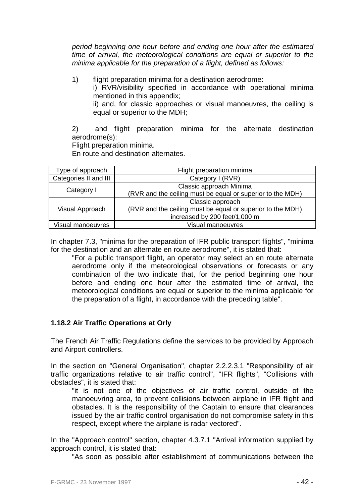*period beginning one hour before and ending one hour after the estimated time of arrival, the meteorological conditions are equal or superior to the minima applicable for the preparation of a flight, defined as follows:* 

1) flight preparation minima for a destination aerodrome:

i) RVR/visibility specified in accordance with operational minima mentioned in this appendix;

ii) and, for classic approaches or visual manoeuvres, the ceiling is equal or superior to the MDH;

2) and flight preparation minima for the alternate destination aerodrome(s):

Flight preparation minima.

En route and destination alternates.

| Type of approach      | Flight preparation minima                                  |  |  |
|-----------------------|------------------------------------------------------------|--|--|
| Categories II and III | Category I (RVR)                                           |  |  |
|                       | Classic approach Minima                                    |  |  |
| Category I            | (RVR and the ceiling must be equal or superior to the MDH) |  |  |
|                       | Classic approach                                           |  |  |
| Visual Approach       | (RVR and the ceiling must be equal or superior to the MDH) |  |  |
|                       | increased by 200 feet/1,000 m                              |  |  |
| Visual manoeuvres     | Visual manoeuvres                                          |  |  |

In chapter 7.3, "minima for the preparation of IFR public transport flights", "minima for the destination and an alternate en route aerodrome", it is stated that:

"For a public transport flight, an operator may select an en route alternate aerodrome only if the meteorological observations or forecasts or any combination of the two indicate that, for the period beginning one hour before and ending one hour after the estimated time of arrival, the meteorological conditions are equal or superior to the minima applicable for the preparation of a flight, in accordance with the preceding table".

## **1.18.2 Air Traffic Operations at Orly**

The French Air Traffic Regulations define the services to be provided by Approach and Airport controllers.

In the section on "General Organisation", chapter 2.2.2.3.1 "Responsibility of air traffic organizations relative to air traffic control", "IFR flights", "Collisions with obstacles", it is stated that:

"it is not one of the objectives of air traffic control, outside of the manoeuvring area, to prevent collisions between airplane in IFR flight and obstacles. It is the responsibility of the Captain to ensure that clearances issued by the air traffic control organisation do not compromise safety in this respect, except where the airplane is radar vectored".

In the "Approach control" section, chapter 4.3.7.1 "Arrival information supplied by approach control, it is stated that:

"As soon as possible after establishment of communications between the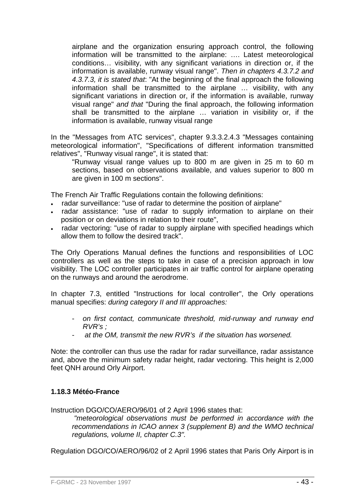airplane and the organization ensuring approach control, the following information will be transmitted to the airplane: …. Latest meteorological conditions… visibility, with any significant variations in direction or, if the information is available, runway visual range". *Then in chapters 4.3.7.2 and 4.3.7.3, it is stated that*: "At the beginning of the final approach the following information shall be transmitted to the airplane … visibility, with any significant variations in direction or, if the information is available, runway visual range" *and that* "During the final approach, the following information shall be transmitted to the airplane … variation in visibility or, if the information is available, runway visual range

In the "Messages from ATC services", chapter 9.3.3.2.4.3 "Messages containing meteorological information", "Specifications of different information transmitted relatives", "Runway visual range", it is stated that:

"Runway visual range values up to 800 m are given in 25 m to 60 m sections, based on observations available, and values superior to 800 m are given in 100 m sections".

The French Air Traffic Regulations contain the following definitions:

- radar surveillance: "use of radar to determine the position of airplane"
- radar assistance: "use of radar to supply information to airplane on their position or on deviations in relation to their route",
- radar vectoring: "use of radar to supply airplane with specified headings which allow them to follow the desired track".

The Orly Operations Manual defines the functions and responsibilities of LOC controllers as well as the steps to take in case of a precision approach in low visibility. The LOC controller participates in air traffic control for airplane operating on the runways and around the aerodrome.

In chapter 7.3, entitled "Instructions for local controller", the Orly operations manual specifies: *during category II and III approaches:*

- *on first contact, communicate threshold, mid-runway and runway end RVR's ;*
- at the OM, transmit the new RVR's if the situation has worsened.

Note: the controller can thus use the radar for radar surveillance, radar assistance and, above the minimum safety radar height, radar vectoring. This height is 2,000 feet QNH around Orly Airport.

#### **1.18.3 Météo-France**

Instruction DGO/CO/AERO/96/01 of 2 April 1996 states that:

*"meteorological observations must be performed in accordance with the recommendations in ICAO annex 3 (supplement B) and the WMO technical regulations, volume II, chapter C.3".* 

Regulation DGO/CO/AERO/96/02 of 2 April 1996 states that Paris Orly Airport is in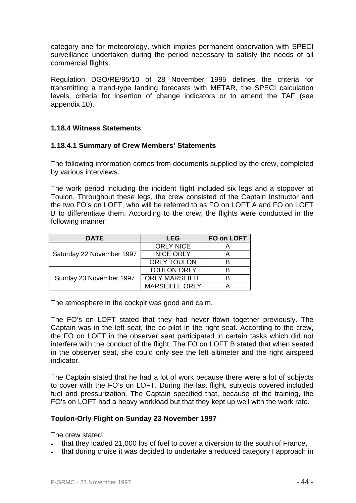category one for meteorology, which implies permanent observation with SPECI surveillance undertaken during the period necessary to satisfy the needs of all commercial flights.

Regulation DGO/RE/95/10 of 28 November 1995 defines the criteria for transmitting a trend-type landing forecasts with METAR, the SPECI calculation levels, criteria for insertion of change indicators or to amend the TAF (see appendix 10).

## **1.18.4 Witness Statements**

#### **1.18.4.1 Summary of Crew Members' Statements**

The following information comes from documents supplied by the crew, completed by various interviews.

The work period including the incident flight included six legs and a stopover at Toulon. Throughout these legs, the crew consisted of the Captain Instructor and the two FO's on LOFT, who will be referred to as FO on LOFT A and FO on LOFT B to differentiate them. According to the crew, the flights were conducted in the following manner:

| <b>DATE</b>               | <b>LEG</b>            | FO on LOFT |
|---------------------------|-----------------------|------------|
|                           | <b>ORLY NICE</b>      |            |
| Saturday 22 November 1997 | <b>NICE ORLY</b>      |            |
|                           | <b>ORLY TOULON</b>    |            |
|                           | <b>TOULON ORLY</b>    | B          |
| Sunday 23 November 1997   | <b>ORLY MARSEILLE</b> |            |
|                           | <b>MARSEILLE ORLY</b> |            |

The atmosphere in the cockpit was good and calm.

The FO's on LOFT stated that they had never flown together previously. The Captain was in the left seat, the co-pilot in the right seat. According to the crew, the FO on LOFT in the observer seat participated in certain tasks which did not interfere with the conduct of the flight. The FO on LOFT B stated that when seated in the observer seat, she could only see the left altimeter and the right airspeed indicator.

The Captain stated that he had a lot of work because there were a lot of subjects to cover with the FO's on LOFT. During the last flight, subjects covered included fuel and pressurization. The Captain specified that, because of the training, the FO's on LOFT had a heavy workload but that they kept up well with the work rate.

#### **Toulon-Orly Flight on Sunday 23 November 1997**

The crew stated:

- that they loaded 21,000 lbs of fuel to cover a diversion to the south of France,
- that during cruise it was decided to undertake a reduced category I approach in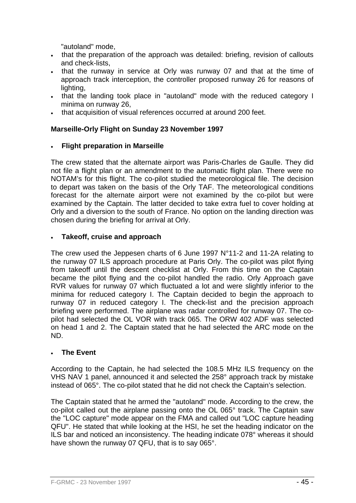"autoland" mode,

- that the preparation of the approach was detailed: briefing, revision of callouts and check-lists,
- that the runway in service at Orly was runway 07 and that at the time of approach track interception, the controller proposed runway 26 for reasons of lighting,
- that the landing took place in "autoland" mode with the reduced category I minima on runway 26,
- that acquisition of visual references occurred at around 200 feet.

## **Marseille-Orly Flight on Sunday 23 November 1997**

#### • **Flight preparation in Marseille**

The crew stated that the alternate airport was Paris-Charles de Gaulle. They did not file a flight plan or an amendment to the automatic flight plan. There were no NOTAM's for this flight. The co-pilot studied the meteorological file. The decision to depart was taken on the basis of the Orly TAF. The meteorological conditions forecast for the alternate airport were not examined by the co-pilot but were examined by the Captain. The latter decided to take extra fuel to cover holding at Orly and a diversion to the south of France. No option on the landing direction was chosen during the briefing for arrival at Orly.

#### • **Takeoff, cruise and approach**

The crew used the Jeppesen charts of 6 June 1997 N°11-2 and 11-2A relating to the runway 07 ILS approach procedure at Paris Orly. The co-pilot was pilot flying from takeoff until the descent checklist at Orly. From this time on the Captain became the pilot flying and the co-pilot handled the radio. Orly Approach gave RVR values for runway 07 which fluctuated a lot and were slightly inferior to the minima for reduced category I. The Captain decided to begin the approach to runway 07 in reduced category I. The check-list and the precision approach briefing were performed. The airplane was radar controlled for runway 07. The copilot had selected the OL VOR with track 065. The ORW 402 ADF was selected on head 1 and 2. The Captain stated that he had selected the ARC mode on the ND.

## • **The Event**

According to the Captain, he had selected the 108.5 MHz ILS frequency on the VHS NAV 1 panel, announced it and selected the 258° approach track by mistake instead of 065°. The co-pilot stated that he did not check the Captain's selection.

The Captain stated that he armed the "autoland" mode. According to the crew, the co-pilot called out the airplane passing onto the OL 065° track. The Captain saw the "LOC capture" mode appear on the FMA and called out "LOC capture heading QFU". He stated that while looking at the HSI, he set the heading indicator on the ILS bar and noticed an inconsistency. The heading indicate 078° whereas it should have shown the runway 07 QFU, that is to say 065°.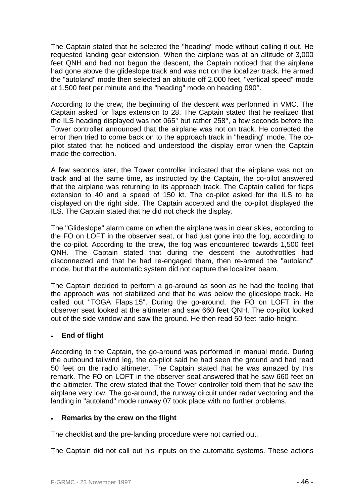The Captain stated that he selected the "heading" mode without calling it out. He requested landing gear extension. When the airplane was at an altitude of 3,000 feet QNH and had not begun the descent, the Captain noticed that the airplane had gone above the glideslope track and was not on the localizer track. He armed the "autoland" mode then selected an altitude off 2,000 feet, "vertical speed" mode at 1,500 feet per minute and the "heading" mode on heading 090°.

According to the crew, the beginning of the descent was performed in VMC. The Captain asked for flaps extension to 28. The Captain stated that he realized that the ILS heading displayed was not 065° but rather 258°, a few seconds before the Tower controller announced that the airplane was not on track. He corrected the error then tried to come back on to the approach track in "heading" mode. The copilot stated that he noticed and understood the display error when the Captain made the correction.

A few seconds later, the Tower controller indicated that the airplane was not on track and at the same time, as instructed by the Captain, the co-pilot answered that the airplane was returning to its approach track. The Captain called for flaps extension to 40 and a speed of 150 kt. The co-pilot asked for the ILS to be displayed on the right side. The Captain accepted and the co-pilot displayed the ILS. The Captain stated that he did not check the display.

The "Glideslope" alarm came on when the airplane was in clear skies, according to the FO on LOFT in the observer seat, or had just gone into the fog, according to the co-pilot. According to the crew, the fog was encountered towards 1,500 feet QNH. The Captain stated that during the descent the autothrottles had disconnected and that he had re-engaged them, then re-armed the "autoland" mode, but that the automatic system did not capture the localizer beam.

The Captain decided to perform a go-around as soon as he had the feeling that the approach was not stabilized and that he was below the glideslope track. He called out "TOGA Flaps 15". During the go-around, the FO on LOFT in the observer seat looked at the altimeter and saw 660 feet QNH. The co-pilot looked out of the side window and saw the ground. He then read 50 feet radio-height.

## • **End of flight**

According to the Captain, the go-around was performed in manual mode. During the outbound tailwind leg, the co-pilot said he had seen the ground and had read 50 feet on the radio altimeter. The Captain stated that he was amazed by this remark. The FO on LOFT in the observer seat answered that he saw 660 feet on the altimeter. The crew stated that the Tower controller told them that he saw the airplane very low. The go-around, the runway circuit under radar vectoring and the landing in "autoland" mode runway 07 took place with no further problems.

## • **Remarks by the crew on the flight**

The checklist and the pre-landing procedure were not carried out.

The Captain did not call out his inputs on the automatic systems. These actions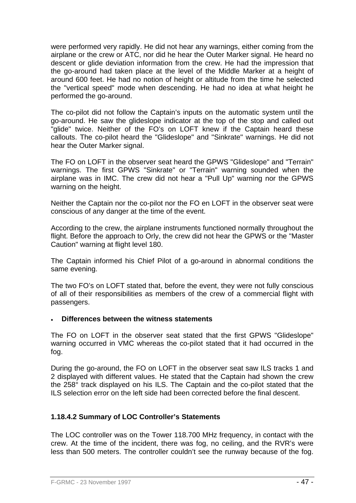were performed very rapidly. He did not hear any warnings, either coming from the airplane or the crew or ATC, nor did he hear the Outer Marker signal. He heard no descent or glide deviation information from the crew. He had the impression that the go-around had taken place at the level of the Middle Marker at a height of around 600 feet. He had no notion of height or altitude from the time he selected the "vertical speed" mode when descending. He had no idea at what height he performed the go-around.

The co-pilot did not follow the Captain's inputs on the automatic system until the go-around. He saw the glideslope indicator at the top of the stop and called out "glide" twice. Neither of the FO's on LOFT knew if the Captain heard these callouts. The co-pilot heard the "Glideslope" and "Sinkrate" warnings. He did not hear the Outer Marker signal.

The FO on LOFT in the observer seat heard the GPWS "Glideslope" and "Terrain" warnings. The first GPWS "Sinkrate" or "Terrain" warning sounded when the airplane was in IMC. The crew did not hear a "Pull Up" warning nor the GPWS warning on the height.

Neither the Captain nor the co-pilot nor the FO en LOFT in the observer seat were conscious of any danger at the time of the event.

According to the crew, the airplane instruments functioned normally throughout the flight. Before the approach to Orly, the crew did not hear the GPWS or the "Master Caution" warning at flight level 180.

The Captain informed his Chief Pilot of a go-around in abnormal conditions the same evening.

The two FO's on LOFT stated that, before the event, they were not fully conscious of all of their responsibilities as members of the crew of a commercial flight with passengers.

#### • **Differences between the witness statements**

The FO on LOFT in the observer seat stated that the first GPWS "Glideslope" warning occurred in VMC whereas the co-pilot stated that it had occurred in the fog.

During the go-around, the FO on LOFT in the observer seat saw ILS tracks 1 and 2 displayed with different values. He stated that the Captain had shown the crew the 258° track displayed on his ILS. The Captain and the co-pilot stated that the ILS selection error on the left side had been corrected before the final descent.

## **1.18.4.2 Summary of LOC Controller's Statements**

The LOC controller was on the Tower 118.700 MHz frequency, in contact with the crew. At the time of the incident, there was fog, no ceiling, and the RVR's were less than 500 meters. The controller couldn't see the runway because of the fog.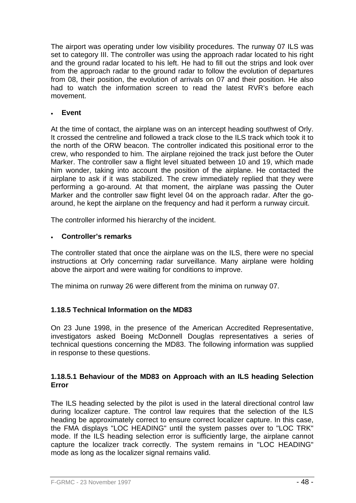The airport was operating under low visibility procedures. The runway 07 ILS was set to category III. The controller was using the approach radar located to his right and the ground radar located to his left. He had to fill out the strips and look over from the approach radar to the ground radar to follow the evolution of departures from 08, their position, the evolution of arrivals on 07 and their position. He also had to watch the information screen to read the latest RVR's before each movement.

#### • **Event**

At the time of contact, the airplane was on an intercept heading southwest of Orly. It crossed the centreline and followed a track close to the ILS track which took it to the north of the ORW beacon. The controller indicated this positional error to the crew, who responded to him. The airplane rejoined the track just before the Outer Marker. The controller saw a flight level situated between 10 and 19, which made him wonder, taking into account the position of the airplane. He contacted the airplane to ask if it was stabilized. The crew immediately replied that they were performing a go-around. At that moment, the airplane was passing the Outer Marker and the controller saw flight level 04 on the approach radar. After the goaround, he kept the airplane on the frequency and had it perform a runway circuit.

The controller informed his hierarchy of the incident.

#### • **Controller's remarks**

The controller stated that once the airplane was on the ILS, there were no special instructions at Orly concerning radar surveillance. Many airplane were holding above the airport and were waiting for conditions to improve.

The minima on runway 26 were different from the minima on runway 07.

## **1.18.5 Technical Information on the MD83**

On 23 June 1998, in the presence of the American Accredited Representative, investigators asked Boeing McDonnell Douglas representatives a series of technical questions concerning the MD83. The following information was supplied in response to these questions.

#### **1.18.5.1 Behaviour of the MD83 on Approach with an ILS heading Selection Error**

The ILS heading selected by the pilot is used in the lateral directional control law during localizer capture. The control law requires that the selection of the ILS heading be approximately correct to ensure correct localizer capture. In this case, the FMA displays "LOC HEADING" until the system passes over to "LOC TRK" mode. If the ILS heading selection error is sufficiently large, the airplane cannot capture the localizer track correctly. The system remains in "LOC HEADING" mode as long as the localizer signal remains valid.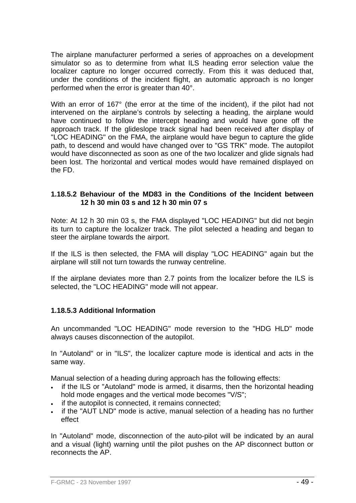The airplane manufacturer performed a series of approaches on a development simulator so as to determine from what ILS heading error selection value the localizer capture no longer occurred correctly. From this it was deduced that, under the conditions of the incident flight, an automatic approach is no longer performed when the error is greater than 40°.

With an error of 167° (the error at the time of the incident), if the pilot had not intervened on the airplane's controls by selecting a heading, the airplane would have continued to follow the intercept heading and would have gone off the approach track. If the glideslope track signal had been received after display of "LOC HEADING" on the FMA, the airplane would have begun to capture the glide path, to descend and would have changed over to "GS TRK" mode. The autopilot would have disconnected as soon as one of the two localizer and glide signals had been lost. The horizontal and vertical modes would have remained displayed on the FD.

#### **1.18.5.2 Behaviour of the MD83 in the Conditions of the Incident between 12 h 30 min 03 s and 12 h 30 min 07 s**

Note: At 12 h 30 min 03 s, the FMA displayed "LOC HEADING" but did not begin its turn to capture the localizer track. The pilot selected a heading and began to steer the airplane towards the airport.

If the ILS is then selected, the FMA will display "LOC HEADING" again but the airplane will still not turn towards the runway centreline.

If the airplane deviates more than 2.7 points from the localizer before the ILS is selected, the "LOC HEADING" mode will not appear.

#### **1.18.5.3 Additional Information**

An uncommanded "LOC HEADING" mode reversion to the "HDG HLD" mode always causes disconnection of the autopilot.

In "Autoland" or in "ILS", the localizer capture mode is identical and acts in the same way.

Manual selection of a heading during approach has the following effects:

- if the ILS or "Autoland" mode is armed, it disarms, then the horizontal heading hold mode engages and the vertical mode becomes "V/S";
- if the autopilot is connected, it remains connected:
- if the "AUT LND" mode is active, manual selection of a heading has no further effect

In "Autoland" mode, disconnection of the auto-pilot will be indicated by an aural and a visual (light) warning until the pilot pushes on the AP disconnect button or reconnects the AP.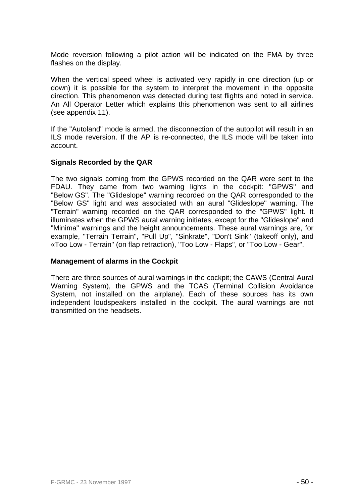Mode reversion following a pilot action will be indicated on the FMA by three flashes on the display.

When the vertical speed wheel is activated very rapidly in one direction (up or down) it is possible for the system to interpret the movement in the opposite direction. This phenomenon was detected during test flights and noted in service. An All Operator Letter which explains this phenomenon was sent to all airlines (see appendix 11).

If the "Autoland" mode is armed, the disconnection of the autopilot will result in an ILS mode reversion. If the AP is re-connected, the ILS mode will be taken into account.

## **Signals Recorded by the QAR**

The two signals coming from the GPWS recorded on the QAR were sent to the FDAU. They came from two warning lights in the cockpit: "GPWS" and "Below GS". The "Glideslope" warning recorded on the QAR corresponded to the "Below GS" light and was associated with an aural "Glideslope" warning. The "Terrain" warning recorded on the QAR corresponded to the "GPWS" light. It illuminates when the GPWS aural warning initiates, except for the "Glideslope" and "Minima" warnings and the height announcements. These aural warnings are, for example, "Terrain Terrain", "Pull Up", "Sinkrate", "Don't Sink" (takeoff only), and «Too Low - Terrain" (on flap retraction), "Too Low - Flaps", or "Too Low - Gear".

## **Management of alarms in the Cockpit**

There are three sources of aural warnings in the cockpit; the CAWS (Central Aural Warning System), the GPWS and the TCAS (Terminal Collision Avoidance System, not installed on the airplane). Each of these sources has its own independent loudspeakers installed in the cockpit. The aural warnings are not transmitted on the headsets.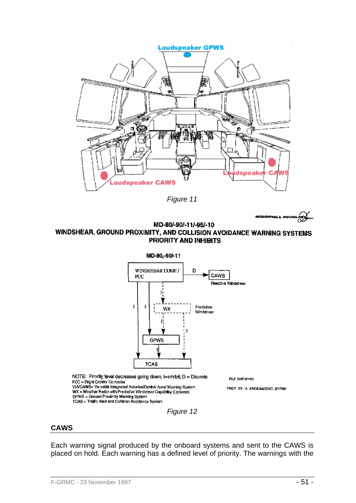

*Figure 11* 



#### MD-80/-90/-11/-95/-10 WINDSHEAR, GROUND PROXIMITY, AND COLLISION AVOIDANCE WARNING SYSTEMS PRIORITY AND INHIBITS



## **CAWS**

Each warning signal produced by the onboard systems and sent to the CAWS is placed on hold. Each warning has a defined level of priority. The warnings with the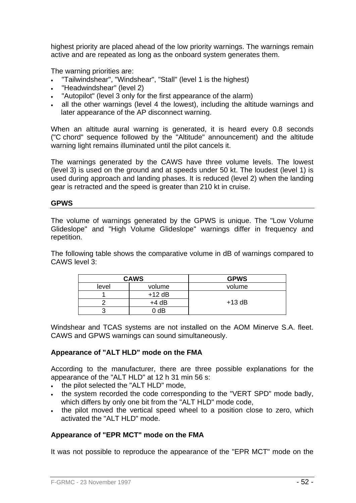highest priority are placed ahead of the low priority warnings. The warnings remain active and are repeated as long as the onboard system generates them.

The warning priorities are:

- "Tailwindshear", "Windshear", "Stall" (level 1 is the highest)
- "Headwindshear" (level 2)
- "Autopilot" (level 3 only for the first appearance of the alarm)
- all the other warnings (level 4 the lowest), including the altitude warnings and later appearance of the AP disconnect warning.

When an altitude aural warning is generated, it is heard every 0.8 seconds ("C chord" sequence followed by the "Altitude" announcement) and the altitude warning light remains illuminated until the pilot cancels it.

The warnings generated by the CAWS have three volume levels. The lowest (level 3) is used on the ground and at speeds under 50 kt. The loudest (level 1) is used during approach and landing phases. It is reduced (level 2) when the landing gear is retracted and the speed is greater than 210 kt in cruise.

#### **GPWS**

The volume of warnings generated by the GPWS is unique. The "Low Volume Glideslope" and "High Volume Glideslope" warnings differ in frequency and repetition.

The following table shows the comparative volume in dB of warnings compared to CAWS level 3:

| <b>CAWS</b> |          | <b>GPWS</b> |
|-------------|----------|-------------|
| level       | volume   | volume      |
|             | $+12$ dB |             |
|             | $+4$ dB  | $+13 dB$    |
|             | 0 dB     |             |

Windshear and TCAS systems are not installed on the AOM Minerve S.A. fleet. CAWS and GPWS warnings can sound simultaneously.

#### **Appearance of "ALT HLD" mode on the FMA**

According to the manufacturer, there are three possible explanations for the appearance of the "ALT HLD" at 12 h 31 min 56 s:

- the pilot selected the "ALT HLD" mode,
- the system recorded the code corresponding to the "VERT SPD" mode badly, which differs by only one bit from the "ALT HLD" mode code,
- the pilot moved the vertical speed wheel to a position close to zero, which activated the "ALT HLD" mode.

#### **Appearance of "EPR MCT" mode on the FMA**

It was not possible to reproduce the appearance of the "EPR MCT" mode on the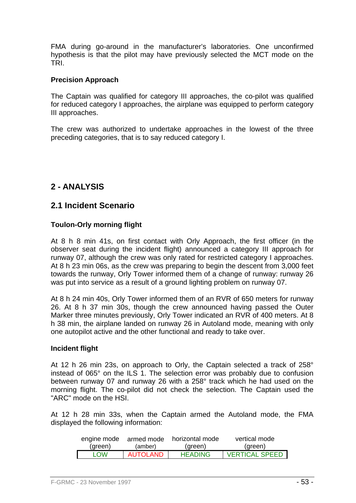FMA during go-around in the manufacturer's laboratories. One unconfirmed hypothesis is that the pilot may have previously selected the MCT mode on the TRI.

#### **Precision Approach**

The Captain was qualified for category III approaches, the co-pilot was qualified for reduced category I approaches, the airplane was equipped to perform category III approaches.

The crew was authorized to undertake approaches in the lowest of the three preceding categories, that is to say reduced category I.

## **2 - ANALYSIS**

## **2.1 Incident Scenario**

## **Toulon-Orly morning flight**

At 8 h 8 min 41s, on first contact with Orly Approach, the first officer (in the observer seat during the incident flight) announced a category III approach for runway 07, although the crew was only rated for restricted category I approaches. At 8 h 23 min 06s, as the crew was preparing to begin the descent from 3,000 feet towards the runway, Orly Tower informed them of a change of runway: runway 26 was put into service as a result of a ground lighting problem on runway 07.

At 8 h 24 min 40s, Orly Tower informed them of an RVR of 650 meters for runway 26. At 8 h 37 min 30s, though the crew announced having passed the Outer Marker three minutes previously, Orly Tower indicated an RVR of 400 meters. At 8 h 38 min, the airplane landed on runway 26 in Autoland mode, meaning with only one autopilot active and the other functional and ready to take over.

#### **Incident flight**

At 12 h 26 min 23s, on approach to Orly, the Captain selected a track of 258° instead of 065° on the ILS 1. The selection error was probably due to confusion between runway 07 and runway 26 with a 258° track which he had used on the morning flight. The co-pilot did not check the selection. The Captain used the "ARC" mode on the HSI.

At 12 h 28 min 33s, when the Captain armed the Autoland mode, the FMA displayed the following information:

| engine mode | armed mode | horizontal mode | vertical mode           |
|-------------|------------|-----------------|-------------------------|
| (green)     | (amber)    | (green)         | (green)                 |
| <b>LOW</b>  | AUTOLAND   | <b>HEADING</b>  | <b>VERTICAL SPEED I</b> |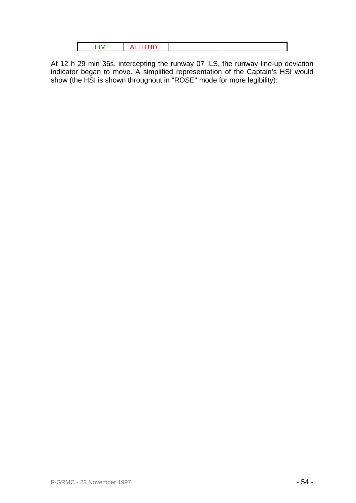At 12 h 29 min 36s, intercepting the runway 07 ILS, the runway line-up deviation indicator began to move. A simplified representation of the Captain's HSI would show (the HSI is shown throughout in "ROSE" mode for more legibility):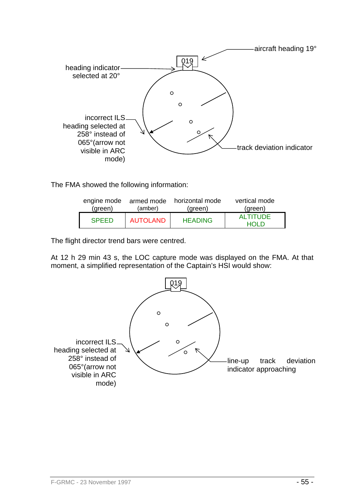

The FMA showed the following information:

| engine mode  | (amber)         | armed mode horizontal mode | vertical mode           |
|--------------|-----------------|----------------------------|-------------------------|
| (green)      |                 | (green)                    | (green)                 |
| <b>SPEED</b> | <b>AUTOLAND</b> | <b>HEADING</b>             | <b>ALTITUDE</b><br>ח וח |

The flight director trend bars were centred.

At 12 h 29 min 43 s, the LOC capture mode was displayed on the FMA. At that moment, a simplified representation of the Captain's HSI would show:

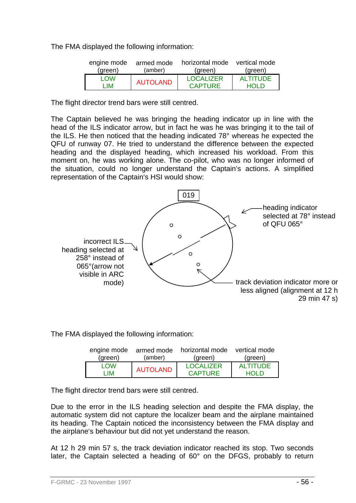The FMA displayed the following information:

| engine mode | armed mode      | horizontal mode  | vertical mode   |
|-------------|-----------------|------------------|-----------------|
| (green)     | (amber)         | (green)          | (green)         |
| <b>I</b> OW | <b>AUTOLAND</b> | <b>LOCALIZER</b> | <b>ALTITUDE</b> |
| - IM        |                 | <b>CAPTURE</b>   | HOL D           |

The flight director trend bars were still centred.

The Captain believed he was bringing the heading indicator up in line with the head of the ILS indicator arrow, but in fact he was he was bringing it to the tail of the ILS. He then noticed that the heading indicated 78° whereas he expected the QFU of runway 07. He tried to understand the difference between the expected heading and the displayed heading, which increased his workload. From this moment on, he was working alone. The co-pilot, who was no longer informed of the situation, could no longer understand the Captain's actions. A simplified representation of the Captain's HSI would show:



The FMA displayed the following information:

| engine mode | armed mode      | horizontal mode  | vertical mode   |
|-------------|-----------------|------------------|-----------------|
| (green)     | (amber)         | (green)          | (green)         |
| I OW        | <b>AUTOLAND</b> | <b>LOCALIZER</b> | <b>ALTITUDE</b> |
| I IM        |                 | <b>CAPTURE</b>   | HOL D           |

The flight director trend bars were still centred.

Due to the error in the ILS heading selection and despite the FMA display, the automatic system did not capture the localizer beam and the airplane maintained its heading. The Captain noticed the inconsistency between the FMA display and the airplane's behaviour but did not yet understand the reason.

At 12 h 29 min 57 s, the track deviation indicator reached its stop. Two seconds later, the Captain selected a heading of 60° on the DFGS, probably to return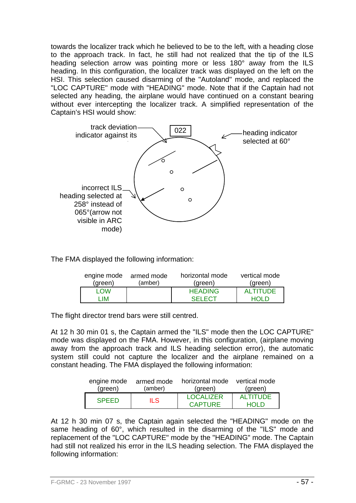towards the localizer track which he believed to be to the left, with a heading close to the approach track. In fact, he still had not realized that the tip of the ILS heading selection arrow was pointing more or less 180° away from the ILS heading. In this configuration, the localizer track was displayed on the left on the HSI. This selection caused disarming of the "Autoland" mode, and replaced the "LOC CAPTURE" mode with "HEADING" mode. Note that if the Captain had not selected any heading, the airplane would have continued on a constant bearing without ever intercepting the localizer track. A simplified representation of the Captain's HSI would show:



The FMA displayed the following information:

| engine mode | armed mode | horizontal mode | vertical mode   |
|-------------|------------|-----------------|-----------------|
| (green)     | (amber)    | (green)         | (green)         |
| I OW        |            | <b>HEADING</b>  | <b>ALTITUDE</b> |
| -IM         |            | <b>SELECT</b>   | HOLD.           |

The flight director trend bars were still centred.

At 12 h 30 min 01 s, the Captain armed the "ILS" mode then the LOC CAPTURE" mode was displayed on the FMA. However, in this configuration, (airplane moving away from the approach track and ILS heading selection error), the automatic system still could not capture the localizer and the airplane remained on a constant heading. The FMA displayed the following information:

| engine mode  | armed mode | horizontal mode             | vertical mode           |
|--------------|------------|-----------------------------|-------------------------|
| (green)      | (amber)    | (green)                     | (green)                 |
| <b>SPEED</b> | ILS.       | <b>LOCALIZER</b><br>CAPTURE | <b>ALTITUDE</b><br>ח וח |

At 12 h 30 min 07 s, the Captain again selected the "HEADING" mode on the same heading of 60°, which resulted in the disarming of the "ILS" mode and replacement of the "LOC CAPTURE" mode by the "HEADING" mode. The Captain had still not realized his error in the ILS heading selection. The FMA displayed the following information: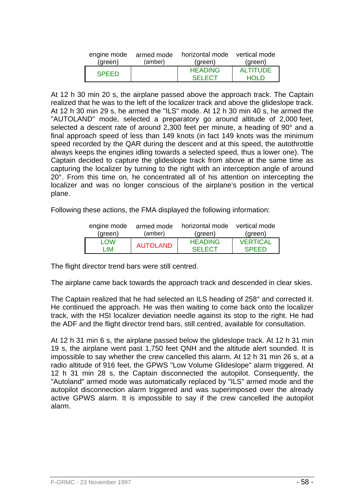| engine mode  | armed mode | horizontal mode vertical mode |          |
|--------------|------------|-------------------------------|----------|
| (green)      | (amber)    | (green)                       | (green)  |
| <b>SPEED</b> |            | <b>HEADING</b>                | ALTITUDE |
|              |            | <b>SELECT</b>                 | ח וח     |

At 12 h 30 min 20 s, the airplane passed above the approach track. The Captain realized that he was to the left of the localizer track and above the glideslope track. At 12 h 30 min 29 s, he armed the "ILS" mode. At 12 h 30 min 40 s, he armed the "AUTOLAND" mode, selected a preparatory go around altitude of 2,000 feet, selected a descent rate of around 2,300 feet per minute, a heading of 90° and a final approach speed of less than 149 knots (in fact 149 knots was the minimum speed recorded by the QAR during the descent and at this speed, the autothrottle always keeps the engines idling towards a selected speed, thus a lower one). The Captain decided to capture the glideslope track from above at the same time as capturing the localizer by turning to the right with an interception angle of around 20°. From this time on, he concentrated all of his attention on intercepting the localizer and was no longer conscious of the airplane's position in the vertical plane.

Following these actions, the FMA displayed the following information:

| engine mode | armed mode      | horizontal mode | vertical mode   |
|-------------|-----------------|-----------------|-----------------|
| (green)     | (amber)         | (green)         | (green)         |
| <b>LOW</b>  | <b>AUTOLAND</b> | <b>HEADING</b>  | <b>VERTICAL</b> |
| - IM        |                 | <b>SELECT</b>   | <b>SPEED</b>    |

The flight director trend bars were still centred.

The airplane came back towards the approach track and descended in clear skies.

The Captain realized that he had selected an ILS heading of 258° and corrected it. He continued the approach. He was then waiting to come back onto the localizer track, with the HSI localizer deviation needle against its stop to the right. He had the ADF and the flight director trend bars, still centred, available for consultation.

At 12 h 31 min 6 s, the airplane passed below the glideslope track. At 12 h 31 min 19 s, the airplane went past 1,750 feet QNH and the altitude alert sounded. It is impossible to say whether the crew cancelled this alarm. At 12 h 31 min 26 s, at a radio altitude of 916 feet, the GPWS "Low Volume Glideslope" alarm triggered. At 12 h 31 min 28 s, the Captain disconnected the autopilot. Consequently, the "Autoland" armed mode was automatically replaced by "ILS" armed mode and the autopilot disconnection alarm triggered and was superimposed over the already active GPWS alarm. It is impossible to say if the crew cancelled the autopilot alarm.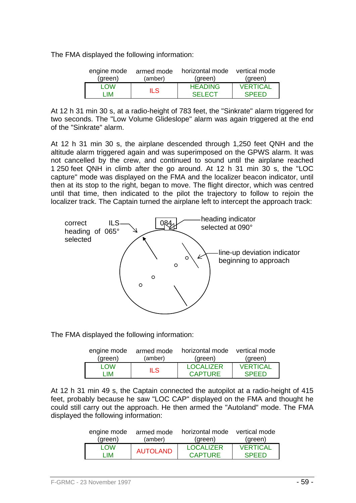The FMA displayed the following information:

| engine mode | armed mode | horizontal mode vertical mode |                 |
|-------------|------------|-------------------------------|-----------------|
| (green)     | (amber)    | (green)                       | (green)         |
| I OW        | ILS.       | <b>HEADING</b>                | <b>VERTICAL</b> |
| - IM        |            | <b>SELECT</b>                 | <b>SPEED</b>    |

At 12 h 31 min 30 s, at a radio-height of 783 feet, the "Sinkrate" alarm triggered for two seconds. The "Low Volume Glideslope" alarm was again triggered at the end of the "Sinkrate" alarm.

At 12 h 31 min 30 s, the airplane descended through 1,250 feet QNH and the altitude alarm triggered again and was superimposed on the GPWS alarm. It was not cancelled by the crew, and continued to sound until the airplane reached 1 250 feet QNH in climb after the go around. At 12 h 31 min 30 s, the "LOC capture" mode was displayed on the FMA and the localizer beacon indicator, until then at its stop to the right, began to move. The flight director, which was centred until that time, then indicated to the pilot the trajectory to follow to rejoin the localizer track. The Captain turned the airplane left to intercept the approach track:



The FMA displayed the following information:

| engine mode | armed mode | horizontal mode vertical mode |                 |
|-------------|------------|-------------------------------|-----------------|
| (green)     | (amber)    | (green)                       | (green)         |
| <b>LOW</b>  | ILS.       | <b>LOCALIZER</b>              | <b>VERTICAL</b> |
| - IM        |            | <b>CAPTURE</b>                | <b>SPEED</b>    |

At 12 h 31 min 49 s, the Captain connected the autopilot at a radio-height of 415 feet, probably because he saw "LOC CAP" displayed on the FMA and thought he could still carry out the approach. He then armed the "Autoland" mode. The FMA displayed the following information:

| engine mode | armed mode      | horizontal mode  | vertical mode   |
|-------------|-----------------|------------------|-----------------|
| (green)     | (amber)         | (green)          | (green)         |
| I OW        | <b>AUTOLAND</b> | <b>LOCALIZER</b> | <b>VERTICAL</b> |
| - IM        |                 | <b>CAPTURE</b>   | <b>SPEED</b>    |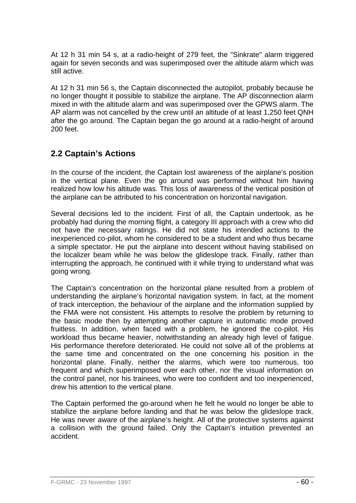At 12 h 31 min 54 s, at a radio-height of 279 feet, the "Sinkrate" alarm triggered again for seven seconds and was superimposed over the altitude alarm which was still active.

At 12 h 31 min 56 s, the Captain disconnected the autopilot, probably because he no longer thought it possible to stabilize the airplane. The AP disconnection alarm mixed in with the altitude alarm and was superimposed over the GPWS alarm. The AP alarm was not cancelled by the crew until an altitude of at least 1,250 feet QNH after the go around. The Captain began the go around at a radio-height of around 200 feet.

# **2.2 Captain's Actions**

In the course of the incident, the Captain lost awareness of the airplane's position in the vertical plane. Even the go around was performed without him having realized how low his altitude was. This loss of awareness of the vertical position of the airplane can be attributed to his concentration on horizontal navigation.

Several decisions led to the incident. First of all, the Captain undertook, as he probably had during the morning flight, a category III approach with a crew who did not have the necessary ratings. He did not state his intended actions to the inexperienced co-pilot, whom he considered to be a student and who thus became a simple spectator. He put the airplane into descent without having stabilised on the localizer beam while he was below the glideslope track. Finally, rather than interrupting the approach, he continued with it while trying to understand what was going wrong.

The Captain's concentration on the horizontal plane resulted from a problem of understanding the airplane's horizontal navigation system. In fact, at the moment of track interception, the behaviour of the airplane and the information supplied by the FMA were not consistent. His attempts to resolve the problem by returning to the basic mode then by attempting another capture in automatic mode proved fruitless. In addition, when faced with a problem, he ignored the co-pilot. His workload thus became heavier, notwithstanding an already high level of fatigue. His performance therefore deteriorated. He could not solve all of the problems at the same time and concentrated on the one concerning his position in the horizontal plane. Finally, neither the alarms, which were too numerous, too frequent and which superimposed over each other, nor the visual information on the control panel, nor his trainees, who were too confident and too inexperienced, drew his attention to the vertical plane.

The Captain performed the go-around when he felt he would no longer be able to stabilize the airplane before landing and that he was below the glideslope track. He was never aware of the airplane's height. All of the protective systems against a collision with the ground failed. Only the Captain's intuition prevented an accident.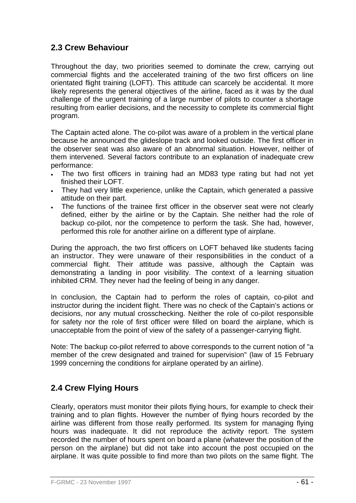## **2.3 Crew Behaviour**

Throughout the day, two priorities seemed to dominate the crew, carrying out commercial flights and the accelerated training of the two first officers on line orientated flight training (LOFT). This attitude can scarcely be accidental. It more likely represents the general objectives of the airline, faced as it was by the dual challenge of the urgent training of a large number of pilots to counter a shortage resulting from earlier decisions, and the necessity to complete its commercial flight program.

The Captain acted alone. The co-pilot was aware of a problem in the vertical plane because he announced the glideslope track and looked outside. The first officer in the observer seat was also aware of an abnormal situation. However, neither of them intervened. Several factors contribute to an explanation of inadequate crew performance:

- The two first officers in training had an MD83 type rating but had not yet finished their LOFT.
- They had very little experience, unlike the Captain, which generated a passive attitude on their part.
- The functions of the trainee first officer in the observer seat were not clearly defined, either by the airline or by the Captain. She neither had the role of backup co-pilot, nor the competence to perform the task. She had, however, performed this role for another airline on a different type of airplane.

During the approach, the two first officers on LOFT behaved like students facing an instructor. They were unaware of their responsibilities in the conduct of a commercial flight. Their attitude was passive, although the Captain was demonstrating a landing in poor visibility. The context of a learning situation inhibited CRM. They never had the feeling of being in any danger.

In conclusion, the Captain had to perform the roles of captain, co-pilot and instructor during the incident flight. There was no check of the Captain's actions or decisions, nor any mutual crosschecking. Neither the role of co-pilot responsible for safety nor the role of first officer were filled on board the airplane, which is unacceptable from the point of view of the safety of a passenger-carrying flight.

Note: The backup co-pilot referred to above corresponds to the current notion of "a member of the crew designated and trained for supervision" (law of 15 February 1999 concerning the conditions for airplane operated by an airline).

# **2.4 Crew Flying Hours**

Clearly, operators must monitor their pilots flying hours, for example to check their training and to plan flights. However the number of flying hours recorded by the airline was different from those really performed. Its system for managing flying hours was inadequate. It did not reproduce the activity report. The system recorded the number of hours spent on board a plane (whatever the position of the person on the airplane) but did not take into account the post occupied on the airplane. It was quite possible to find more than two pilots on the same flight. The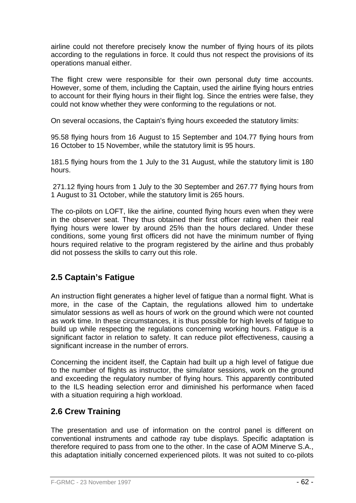airline could not therefore precisely know the number of flying hours of its pilots according to the regulations in force. It could thus not respect the provisions of its operations manual either.

The flight crew were responsible for their own personal duty time accounts. However, some of them, including the Captain, used the airline flying hours entries to account for their flying hours in their flight log. Since the entries were false, they could not know whether they were conforming to the regulations or not.

On several occasions, the Captain's flying hours exceeded the statutory limits:

95.58 flying hours from 16 August to 15 September and 104.77 flying hours from 16 October to 15 November, while the statutory limit is 95 hours.

181.5 flying hours from the 1 July to the 31 August, while the statutory limit is 180 hours.

 271.12 flying hours from 1 July to the 30 September and 267.77 flying hours from 1 August to 31 October, while the statutory limit is 265 hours.

The co-pilots on LOFT, like the airline, counted flying hours even when they were in the observer seat. They thus obtained their first officer rating when their real flying hours were lower by around 25% than the hours declared. Under these conditions, some young first officers did not have the minimum number of flying hours required relative to the program registered by the airline and thus probably did not possess the skills to carry out this role.

# **2.5 Captain's Fatigue**

An instruction flight generates a higher level of fatigue than a normal flight. What is more, in the case of the Captain, the regulations allowed him to undertake simulator sessions as well as hours of work on the ground which were not counted as work time. In these circumstances, it is thus possible for high levels of fatigue to build up while respecting the regulations concerning working hours. Fatigue is a significant factor in relation to safety. It can reduce pilot effectiveness, causing a significant increase in the number of errors.

Concerning the incident itself, the Captain had built up a high level of fatigue due to the number of flights as instructor, the simulator sessions, work on the ground and exceeding the regulatory number of flying hours. This apparently contributed to the ILS heading selection error and diminished his performance when faced with a situation requiring a high workload.

## **2.6 Crew Training**

The presentation and use of information on the control panel is different on conventional instruments and cathode ray tube displays. Specific adaptation is therefore required to pass from one to the other. In the case of AOM Minerve S.A., this adaptation initially concerned experienced pilots. It was not suited to co-pilots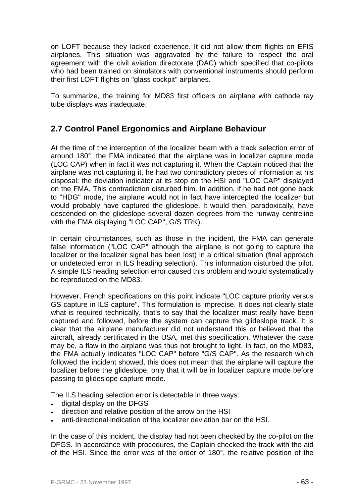on LOFT because they lacked experience. It did not allow them flights on EFIS airplanes. This situation was aggravated by the failure to respect the oral agreement with the civil aviation directorate (DAC) which specified that co-pilots who had been trained on simulators with conventional instruments should perform their first LOFT flights on "glass cockpit" airplanes.

To summarize, the training for MD83 first officers on airplane with cathode ray tube displays was inadequate.

## **2.7 Control Panel Ergonomics and Airplane Behaviour**

At the time of the interception of the localizer beam with a track selection error of around 180°, the FMA indicated that the airplane was in localizer capture mode (LOC CAP) when in fact it was not capturing it. When the Captain noticed that the airplane was not capturing it, he had two contradictory pieces of information at his disposal: the deviation indicator at its stop on the HSI and "LOC CAP" displayed on the FMA. This contradiction disturbed him. In addition, if he had not gone back to "HDG" mode, the airplane would not in fact have intercepted the localizer but would probably have captured the glideslope. It would then, paradoxically, have descended on the glideslope several dozen degrees from the runway centreline with the FMA displaying "LOC CAP", G/S TRK).

In certain circumstances, such as those in the incident, the FMA can generate false information ("LOC CAP" although the airplane is not going to capture the localizer or the localizer signal has been lost) in a critical situation (final approach or undetected error in ILS heading selection). This information disturbed the pilot. A simple ILS heading selection error caused this problem and would systematically be reproduced on the MD83.

However, French specifications on this point indicate "LOC capture priority versus GS capture in ILS capture". This formulation is imprecise. It does not clearly state what is required technically, that's to say that the localizer must really have been captured and followed, before the system can capture the glideslope track. It is clear that the airplane manufacturer did not understand this or believed that the aircraft, already certificated in the USA, met this specification. Whatever the case may be, a flaw in the airplane was thus not brought to light. In fact, on the MD83, the FMA actually indicates "LOC CAP" before "G/S CAP". As the research which followed the incident showed, this does not mean that the airplane will capture the localizer before the glideslope, only that it will be in localizer capture mode before passing to glideslope capture mode.

The ILS heading selection error is detectable in three ways:

- digital display on the DFGS
- direction and relative position of the arrow on the HSI
- anti-directional indication of the localizer deviation bar on the HSI.

In the case of this incident, the display had not been checked by the co-pilot on the DFGS. In accordance with procedures, the Captain checked the track with the aid of the HSI. Since the error was of the order of 180°, the relative position of the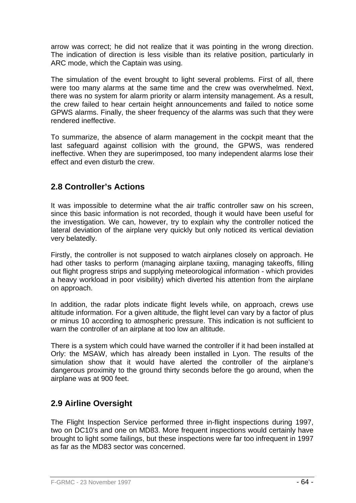arrow was correct; he did not realize that it was pointing in the wrong direction. The indication of direction is less visible than its relative position, particularly in ARC mode, which the Captain was using.

The simulation of the event brought to light several problems. First of all, there were too many alarms at the same time and the crew was overwhelmed. Next, there was no system for alarm priority or alarm intensity management. As a result, the crew failed to hear certain height announcements and failed to notice some GPWS alarms. Finally, the sheer frequency of the alarms was such that they were rendered ineffective.

To summarize, the absence of alarm management in the cockpit meant that the last safeguard against collision with the ground, the GPWS, was rendered ineffective. When they are superimposed, too many independent alarms lose their effect and even disturb the crew.

# **2.8 Controller's Actions**

It was impossible to determine what the air traffic controller saw on his screen, since this basic information is not recorded, though it would have been useful for the investigation. We can, however, try to explain why the controller noticed the lateral deviation of the airplane very quickly but only noticed its vertical deviation very belatedly.

Firstly, the controller is not supposed to watch airplanes closely on approach. He had other tasks to perform (managing airplane taxiing, managing takeoffs, filling out flight progress strips and supplying meteorological information - which provides a heavy workload in poor visibility) which diverted his attention from the airplane on approach.

In addition, the radar plots indicate flight levels while, on approach, crews use altitude information. For a given altitude, the flight level can vary by a factor of plus or minus 10 according to atmospheric pressure. This indication is not sufficient to warn the controller of an airplane at too low an altitude.

There is a system which could have warned the controller if it had been installed at Orly: the MSAW, which has already been installed in Lyon. The results of the simulation show that it would have alerted the controller of the airplane's dangerous proximity to the ground thirty seconds before the go around, when the airplane was at 900 feet.

# **2.9 Airline Oversight**

The Flight Inspection Service performed three in-flight inspections during 1997, two on DC10's and one on MD83. More frequent inspections would certainly have brought to light some failings, but these inspections were far too infrequent in 1997 as far as the MD83 sector was concerned.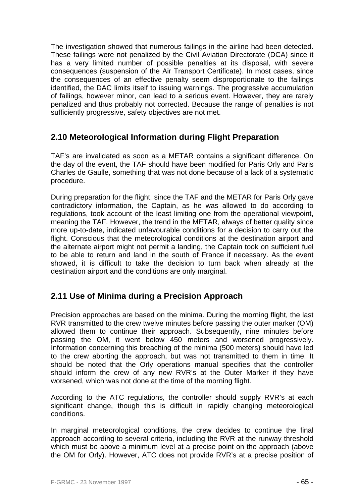The investigation showed that numerous failings in the airline had been detected. These failings were not penalized by the Civil Aviation Directorate (DCA) since it has a very limited number of possible penalties at its disposal, with severe consequences (suspension of the Air Transport Certificate). In most cases, since the consequences of an effective penalty seem disproportionate to the failings identified, the DAC limits itself to issuing warnings. The progressive accumulation of failings, however minor, can lead to a serious event. However, they are rarely penalized and thus probably not corrected. Because the range of penalties is not sufficiently progressive, safety objectives are not met.

## **2.10 Meteorological Information during Flight Preparation**

TAF's are invalidated as soon as a METAR contains a significant difference. On the day of the event, the TAF should have been modified for Paris Orly and Paris Charles de Gaulle, something that was not done because of a lack of a systematic procedure.

During preparation for the flight, since the TAF and the METAR for Paris Orly gave contradictory information, the Captain, as he was allowed to do according to regulations, took account of the least limiting one from the operational viewpoint, meaning the TAF. However, the trend in the METAR, always of better quality since more up-to-date, indicated unfavourable conditions for a decision to carry out the flight. Conscious that the meteorological conditions at the destination airport and the alternate airport might not permit a landing, the Captain took on sufficient fuel to be able to return and land in the south of France if necessary. As the event showed, it is difficult to take the decision to turn back when already at the destination airport and the conditions are only marginal.

# **2.11 Use of Minima during a Precision Approach**

Precision approaches are based on the minima. During the morning flight, the last RVR transmitted to the crew twelve minutes before passing the outer marker (OM) allowed them to continue their approach. Subsequently, nine minutes before passing the OM, it went below 450 meters and worsened progressively. Information concerning this breaching of the minima (500 meters) should have led to the crew aborting the approach, but was not transmitted to them in time. It should be noted that the Orly operations manual specifies that the controller should inform the crew of any new RVR's at the Outer Marker if they have worsened, which was not done at the time of the morning flight.

According to the ATC regulations, the controller should supply RVR's at each significant change, though this is difficult in rapidly changing meteorological conditions.

In marginal meteorological conditions, the crew decides to continue the final approach according to several criteria, including the RVR at the runway threshold which must be above a minimum level at a precise point on the approach (above the OM for Orly). However, ATC does not provide RVR's at a precise position of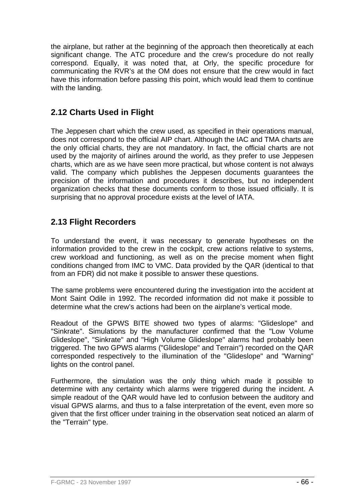the airplane, but rather at the beginning of the approach then theoretically at each significant change. The ATC procedure and the crew's procedure do not really correspond. Equally, it was noted that, at Orly, the specific procedure for communicating the RVR's at the OM does not ensure that the crew would in fact have this information before passing this point, which would lead them to continue with the landing.

# **2.12 Charts Used in Flight**

The Jeppesen chart which the crew used, as specified in their operations manual, does not correspond to the official AIP chart. Although the IAC and TMA charts are the only official charts, they are not mandatory. In fact, the official charts are not used by the majority of airlines around the world, as they prefer to use Jeppesen charts, which are as we have seen more practical, but whose content is not always valid. The company which publishes the Jeppesen documents guarantees the precision of the information and procedures it describes, but no independent organization checks that these documents conform to those issued officially. It is surprising that no approval procedure exists at the level of IATA.

# **2.13 Flight Recorders**

To understand the event, it was necessary to generate hypotheses on the information provided to the crew in the cockpit, crew actions relative to systems, crew workload and functioning, as well as on the precise moment when flight conditions changed from IMC to VMC. Data provided by the QAR (identical to that from an FDR) did not make it possible to answer these questions.

The same problems were encountered during the investigation into the accident at Mont Saint Odile in 1992. The recorded information did not make it possible to determine what the crew's actions had been on the airplane's vertical mode.

Readout of the GPWS BITE showed two types of alarms: "Glideslope" and "Sinkrate". Simulations by the manufacturer confirmed that the "Low Volume Glideslope", "Sinkrate" and "High Volume Glideslope" alarms had probably been triggered. The two GPWS alarms ("Glideslope" and Terrain") recorded on the QAR corresponded respectively to the illumination of the "Glideslope" and "Warning" lights on the control panel.

Furthermore, the simulation was the only thing which made it possible to determine with any certainty which alarms were triggered during the incident. A simple readout of the QAR would have led to confusion between the auditory and visual GPWS alarms, and thus to a false interpretation of the event, even more so given that the first officer under training in the observation seat noticed an alarm of the "Terrain" type.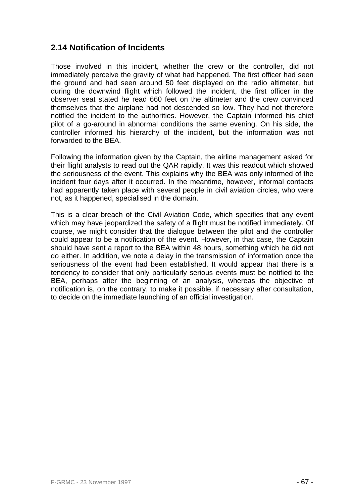## **2.14 Notification of Incidents**

Those involved in this incident, whether the crew or the controller, did not immediately perceive the gravity of what had happened. The first officer had seen the ground and had seen around 50 feet displayed on the radio altimeter, but during the downwind flight which followed the incident, the first officer in the observer seat stated he read 660 feet on the altimeter and the crew convinced themselves that the airplane had not descended so low. They had not therefore notified the incident to the authorities. However, the Captain informed his chief pilot of a go-around in abnormal conditions the same evening. On his side, the controller informed his hierarchy of the incident, but the information was not forwarded to the BEA.

Following the information given by the Captain, the airline management asked for their flight analysts to read out the QAR rapidly. It was this readout which showed the seriousness of the event. This explains why the BEA was only informed of the incident four days after it occurred. In the meantime, however, informal contacts had apparently taken place with several people in civil aviation circles, who were not, as it happened, specialised in the domain.

This is a clear breach of the Civil Aviation Code, which specifies that any event which may have jeopardized the safety of a flight must be notified immediately. Of course, we might consider that the dialogue between the pilot and the controller could appear to be a notification of the event. However, in that case, the Captain should have sent a report to the BEA within 48 hours, something which he did not do either. In addition, we note a delay in the transmission of information once the seriousness of the event had been established. It would appear that there is a tendency to consider that only particularly serious events must be notified to the BEA, perhaps after the beginning of an analysis, whereas the objective of notification is, on the contrary, to make it possible, if necessary after consultation, to decide on the immediate launching of an official investigation.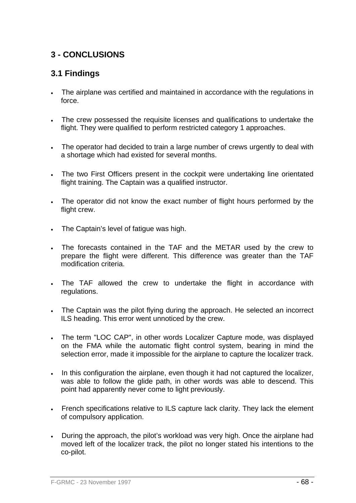# **3 - CONCLUSIONS**

# **3.1 Findings**

- The airplane was certified and maintained in accordance with the regulations in force.
- The crew possessed the requisite licenses and qualifications to undertake the flight. They were qualified to perform restricted category 1 approaches.
- The operator had decided to train a large number of crews urgently to deal with a shortage which had existed for several months.
- The two First Officers present in the cockpit were undertaking line orientated flight training. The Captain was a qualified instructor.
- The operator did not know the exact number of flight hours performed by the flight crew.
- The Captain's level of fatigue was high.
- The forecasts contained in the TAF and the METAR used by the crew to prepare the flight were different. This difference was greater than the TAF modification criteria.
- The TAF allowed the crew to undertake the flight in accordance with regulations.
- The Captain was the pilot flying during the approach. He selected an incorrect ILS heading. This error went unnoticed by the crew.
- The term "LOC CAP", in other words Localizer Capture mode, was displayed on the FMA while the automatic flight control system, bearing in mind the selection error, made it impossible for the airplane to capture the localizer track.
- In this configuration the airplane, even though it had not captured the localizer, was able to follow the glide path, in other words was able to descend. This point had apparently never come to light previously.
- French specifications relative to ILS capture lack clarity. They lack the element of compulsory application.
- During the approach, the pilot's workload was very high. Once the airplane had moved left of the localizer track, the pilot no longer stated his intentions to the co-pilot.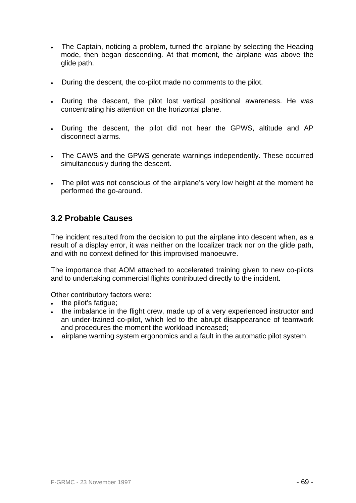- The Captain, noticing a problem, turned the airplane by selecting the Heading mode, then began descending. At that moment, the airplane was above the glide path.
- During the descent, the co-pilot made no comments to the pilot.
- During the descent, the pilot lost vertical positional awareness. He was concentrating his attention on the horizontal plane.
- During the descent, the pilot did not hear the GPWS, altitude and AP disconnect alarms.
- The CAWS and the GPWS generate warnings independently. These occurred simultaneously during the descent.
- The pilot was not conscious of the airplane's very low height at the moment he performed the go-around.

## **3.2 Probable Causes**

The incident resulted from the decision to put the airplane into descent when, as a result of a display error, it was neither on the localizer track nor on the glide path, and with no context defined for this improvised manoeuvre.

The importance that AOM attached to accelerated training given to new co-pilots and to undertaking commercial flights contributed directly to the incident.

Other contributory factors were:

- the pilot's fatigue;
- the imbalance in the flight crew, made up of a very experienced instructor and an under-trained co-pilot, which led to the abrupt disappearance of teamwork and procedures the moment the workload increased;
- airplane warning system ergonomics and a fault in the automatic pilot system.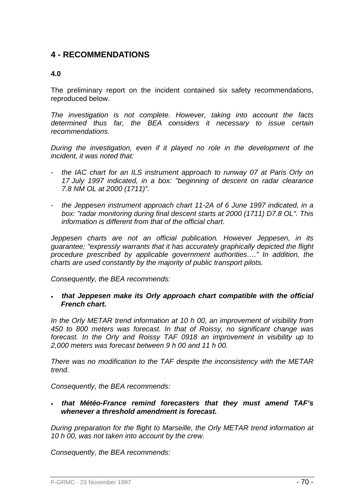## **4 - RECOMMENDATIONS**

#### **4.0**

The preliminary report on the incident contained six safety recommendations, reproduced below.

*The investigation is not complete. However, taking into account the facts determined thus far, the BEA considers it necessary to issue certain recommendations.* 

*During the investigation, even if it played no role in the development of the incident, it was noted that:* 

- *the IAC chart for an ILS instrument approach to runway 07 at Paris Orly on 17 July 1997 indicated, in a box: "beginning of descent on radar clearance 7.8 NM OL at 2000 (1711)".*
- *the Jeppesen instrument approach chart 11-2A of 6 June 1997 indicated, in a box: "radar monitoring during final descent starts at 2000 (1711) D7.8 OL". This information is different from that of the official chart.*

*Jeppesen charts are not an official publication. However Jeppesen, in its guarantee; "expressly warrants that it has accurately graphically depicted the flight procedure prescribed by applicable government authorities…." In addition, the charts are used constantly by the majority of public transport pilots.* 

*Consequently, the BEA recommends:* 

• *that Jeppesen make its Orly approach chart compatible with the official French chart.* 

*In the Orly METAR trend information at 10 h 00, an improvement of visibility from 450 to 800 meters was forecast. In that of Roissy, no significant change was forecast. In the Orly and Roissy TAF 0918 an improvement in visibility up to 2,000 meters was forecast between 9 h 00 and 11 h 00.* 

*There was no modification to the TAF despite the inconsistency with the METAR trend.* 

*Consequently, the BEA recommends:* 

• *that Météo-France remind forecasters that they must amend TAF's whenever a threshold amendment is forecast.* 

*During preparation for the flight to Marseille, the Orly METAR trend information at 10 h 00, was not taken into account by the crew.* 

*Consequently, the BEA recommends:*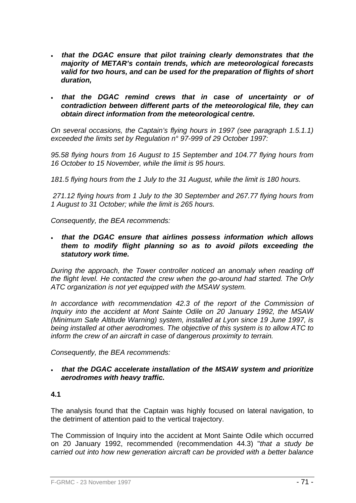- *that the DGAC ensure that pilot training clearly demonstrates that the majority of METAR's contain trends, which are meteorological forecasts valid for two hours, and can be used for the preparation of flights of short duration,*
- *that the DGAC remind crews that in case of uncertainty or of contradiction between different parts of the meteorological file, they can obtain direct information from the meteorological centre.*

*On several occasions, the Captain's flying hours in 1997 (see paragraph 1.5.1.1) exceeded the limits set by Regulation n° 97-999 of 29 October 1997:* 

*95.58 flying hours from 16 August to 15 September and 104.77 flying hours from 16 October to 15 November, while the limit is 95 hours.* 

*181.5 flying hours from the 1 July to the 31 August, while the limit is 180 hours.* 

 *271.12 flying hours from 1 July to the 30 September and 267.77 flying hours from 1 August to 31 October; while the limit is 265 hours.* 

*Consequently, the BEA recommends:* 

• *that the DGAC ensure that airlines possess information which allows them to modify flight planning so as to avoid pilots exceeding the statutory work time.* 

*During the approach, the Tower controller noticed an anomaly when reading off the flight level. He contacted the crew when the go-around had started. The Orly ATC organization is not yet equipped with the MSAW system.* 

*In accordance with recommendation 42.3 of the report of the Commission of Inquiry into the accident at Mont Sainte Odile on 20 January 1992, the MSAW (Minimum Safe Altitude Warning) system, installed at Lyon since 19 June 1997, is being installed at other aerodromes. The objective of this system is to allow ATC to inform the crew of an aircraft in case of dangerous proximity to terrain.* 

*Consequently, the BEA recommends:* 

• *that the DGAC accelerate installation of the MSAW system and prioritize aerodromes with heavy traffic.* 

#### **4.1**

The analysis found that the Captain was highly focused on lateral navigation, to the detriment of attention paid to the vertical trajectory.

The Commission of Inquiry into the accident at Mont Sainte Odile which occurred on 20 January 1992, recommended (recommendation 44.3) "*that a study be carried out into how new generation aircraft can be provided with a better balance*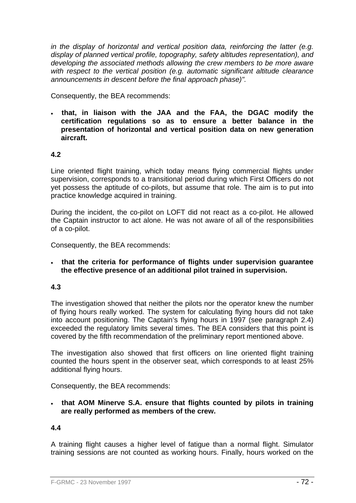*in the display of horizontal and vertical position data, reinforcing the latter (e.g. display of planned vertical profile, topography, safety altitudes representation), and developing the associated methods allowing the crew members to be more aware with respect to the vertical position (e.g. automatic significant altitude clearance announcements in descent before the final approach phase)".*

Consequently, the BEA recommends:

• **that, in liaison with the JAA and the FAA, the DGAC modify the certification regulations so as to ensure a better balance in the presentation of horizontal and vertical position data on new generation aircraft.** 

#### **4.2**

Line oriented flight training, which today means flying commercial flights under supervision, corresponds to a transitional period during which First Officers do not yet possess the aptitude of co-pilots, but assume that role. The aim is to put into practice knowledge acquired in training.

During the incident, the co-pilot on LOFT did not react as a co-pilot. He allowed the Captain instructor to act alone. He was not aware of all of the responsibilities of a co-pilot.

Consequently, the BEA recommends:

• **that the criteria for performance of flights under supervision guarantee the effective presence of an additional pilot trained in supervision.** 

## **4.3**

The investigation showed that neither the pilots nor the operator knew the number of flying hours really worked. The system for calculating flying hours did not take into account positioning. The Captain's flying hours in 1997 (see paragraph 2.4) exceeded the regulatory limits several times. The BEA considers that this point is covered by the fifth recommendation of the preliminary report mentioned above.

The investigation also showed that first officers on line oriented flight training counted the hours spent in the observer seat, which corresponds to at least 25% additional flying hours.

Consequently, the BEA recommends:

• **that AOM Minerve S.A. ensure that flights counted by pilots in training are really performed as members of the crew.** 

## **4.4**

A training flight causes a higher level of fatigue than a normal flight. Simulator training sessions are not counted as working hours. Finally, hours worked on the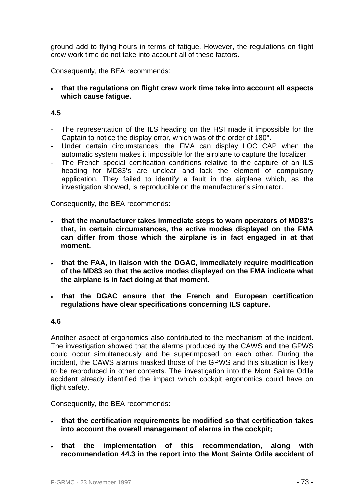ground add to flying hours in terms of fatigue. However, the regulations on flight crew work time do not take into account all of these factors.

Consequently, the BEA recommends:

• **that the regulations on flight crew work time take into account all aspects which cause fatigue.** 

#### **4.5**

- The representation of the ILS heading on the HSI made it impossible for the Captain to notice the display error, which was of the order of 180°.
- Under certain circumstances, the FMA can display LOC CAP when the automatic system makes it impossible for the airplane to capture the localizer.
- The French special certification conditions relative to the capture of an ILS heading for MD83's are unclear and lack the element of compulsory application. They failed to identify a fault in the airplane which, as the investigation showed, is reproducible on the manufacturer's simulator.

Consequently, the BEA recommends:

- **that the manufacturer takes immediate steps to warn operators of MD83's that, in certain circumstances, the active modes displayed on the FMA can differ from those which the airplane is in fact engaged in at that moment.**
- **that the FAA, in liaison with the DGAC, immediately require modification of the MD83 so that the active modes displayed on the FMA indicate what the airplane is in fact doing at that moment.**
- **that the DGAC ensure that the French and European certification regulations have clear specifications concerning ILS capture.**

#### **4.6**

Another aspect of ergonomics also contributed to the mechanism of the incident. The investigation showed that the alarms produced by the CAWS and the GPWS could occur simultaneously and be superimposed on each other. During the incident, the CAWS alarms masked those of the GPWS and this situation is likely to be reproduced in other contexts. The investigation into the Mont Sainte Odile accident already identified the impact which cockpit ergonomics could have on flight safety.

Consequently, the BEA recommends:

- **that the certification requirements be modified so that certification takes into account the overall management of alarms in the cockpit;**
- **that the implementation of this recommendation, along with recommendation 44.3 in the report into the Mont Sainte Odile accident of**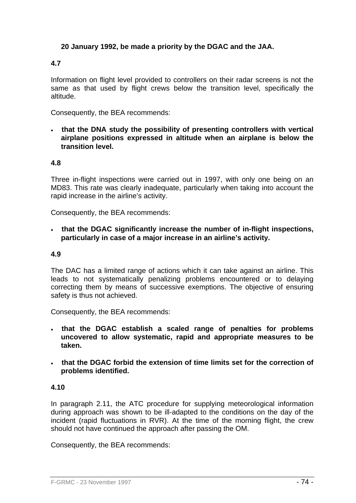# **20 January 1992, be made a priority by the DGAC and the JAA.**

# **4.7**

Information on flight level provided to controllers on their radar screens is not the same as that used by flight crews below the transition level, specifically the altitude.

Consequently, the BEA recommends:

• **that the DNA study the possibility of presenting controllers with vertical airplane positions expressed in altitude when an airplane is below the transition level.** 

#### **4.8**

Three in-flight inspections were carried out in 1997, with only one being on an MD83. This rate was clearly inadequate, particularly when taking into account the rapid increase in the airline's activity.

Consequently, the BEA recommends:

• **that the DGAC significantly increase the number of in-flight inspections, particularly in case of a major increase in an airline's activity.** 

#### **4.9**

The DAC has a limited range of actions which it can take against an airline. This leads to not systematically penalizing problems encountered or to delaying correcting them by means of successive exemptions. The objective of ensuring safety is thus not achieved.

Consequently, the BEA recommends:

- **that the DGAC establish a scaled range of penalties for problems uncovered to allow systematic, rapid and appropriate measures to be taken.**
- **that the DGAC forbid the extension of time limits set for the correction of problems identified.**

## **4.10**

In paragraph 2.11, the ATC procedure for supplying meteorological information during approach was shown to be ill-adapted to the conditions on the day of the incident (rapid fluctuations in RVR). At the time of the morning flight, the crew should not have continued the approach after passing the OM.

Consequently, the BEA recommends: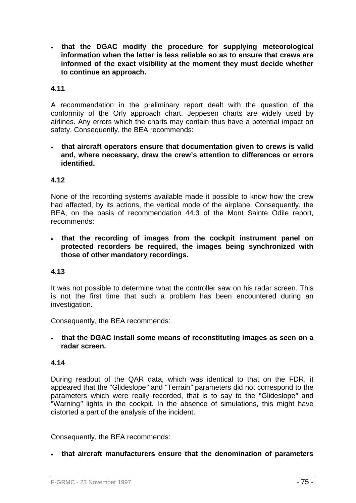• **that the DGAC modify the procedure for supplying meteorological information when the latter is less reliable so as to ensure that crews are informed of the exact visibility at the moment they must decide whether to continue an approach.** 

# **4.11**

A recommendation in the preliminary report dealt with the question of the conformity of the Orly approach chart. Jeppesen charts are widely used by airlines. Any errors which the charts may contain thus have a potential impact on safety. Consequently, the BEA recommends:

• **that aircraft operators ensure that documentation given to crews is valid and, where necessary, draw the crew's attention to differences or errors identified.** 

## **4.12**

None of the recording systems available made it possible to know how the crew had affected, by its actions, the vertical mode of the airplane. Consequently, the BEA, on the basis of recommendation 44.3 of the Mont Sainte Odile report, recommends:

• **that the recording of images from the cockpit instrument panel on protected recorders be required, the images being synchronized with those of other mandatory recordings.** 

## **4.13**

It was not possible to determine what the controller saw on his radar screen. This is not the first time that such a problem has been encountered during an investigation.

Consequently, the BEA recommends:

• **that the DGAC install some means of reconstituting images as seen on a radar screen.** 

## **4.14**

During readout of the QAR data, which was identical to that on the FDR, it appeared that the "Glideslope*"* and "Terrain*"* parameters did not correspond to the parameters which were really recorded, that is to say to the "Glideslope*"* and "Warning*"* lights in the cockpit. In the absence of simulations, this might have distorted a part of the analysis of the incident.

Consequently, the BEA recommends:

• **that aircraft manufacturers ensure that the denomination of parameters**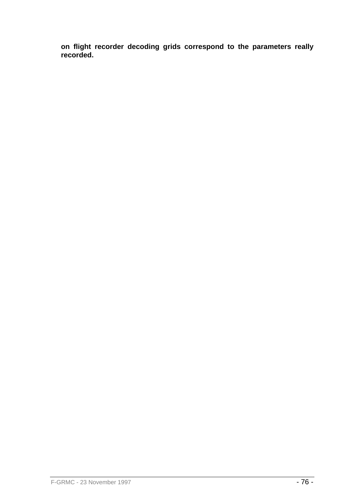**on flight recorder decoding grids correspond to the parameters really recorded.**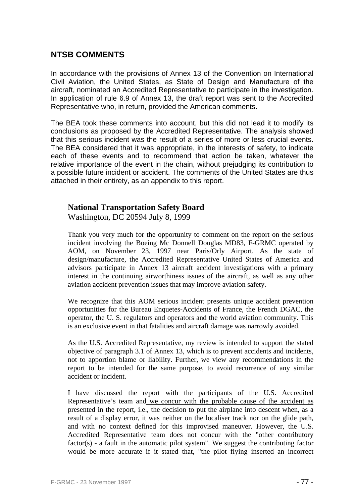# **NTSB COMMENTS**

In accordance with the provisions of Annex 13 of the Convention on International Civil Aviation, the United States, as State of Design and Manufacture of the aircraft, nominated an Accredited Representative to participate in the investigation. In application of rule 6.9 of Annex 13, the draft report was sent to the Accredited Representative who, in return, provided the American comments.

The BEA took these comments into account, but this did not lead it to modify its conclusions as proposed by the Accredited Representative. The analysis showed that this serious incident was the result of a series of more or less crucial events. The BEA considered that it was appropriate, in the interests of safety, to indicate each of these events and to recommend that action be taken, whatever the relative importance of the event in the chain, without prejudging its contribution to a possible future incident or accident. The comments of the United States are thus attached in their entirety, as an appendix to this report.

# **National Transportation Safety Board**

Washington, DC 20594 July 8, 1999

Thank you very much for the opportunity to comment on the report on the serious incident involving the Boeing Mc Donnell Douglas MD83, F-GRMC operated by AOM, on November 23, 1997 near Paris/Orly Airport. As the state of design/manufacture, the Accredited Representative United States of America and advisors participate in Annex 13 aircraft accident investigations with a primary interest in the continuing airworthiness issues of the aircraft, as well as any other aviation accident prevention issues that may improve aviation safety.

We recognize that this AOM serious incident presents unique accident prevention opportunities for the Bureau Enquetes-Accidents of France, the French DGAC, the operator, the U. S. regulators and operators and the world aviation community. This is an exclusive event in that fatalities and aircraft damage was narrowly avoided.

As the U.S. Accredited Representative, my review is intended to support the stated objective of paragraph 3.1 of Annex 13, which is to prevent accidents and incidents, not to apportion blame or liability. Further, we view any recommendations in the report to be intended for the same purpose, to avoid recurrence of any similar accident or incident.

I have discussed the report with the participants of the U.S. Accredited Representative's team and we concur with the probable cause of the accident as presented in the report, i.e., the decision to put the airplane into descent when, as a result of a display error, it was neither on the localiser track nor on the glide path, and with no context defined for this improvised maneuver. However, the U.S. Accredited Representative team does not concur with the "other contributory factor(s) - a fault in the automatic pilot system". We suggest the contributing factor would be more accurate if it stated that, "the pilot flying inserted an incorrect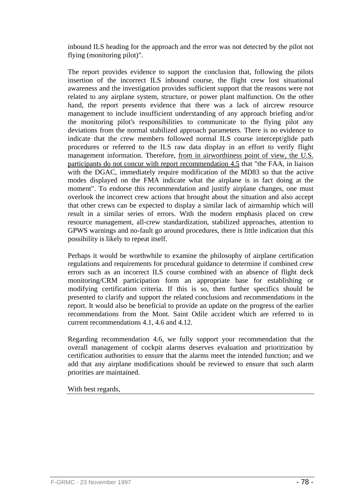inbound ILS heading for the approach and the error was not detected by the pilot not flying (monitoring pilot)".

The report provides evidence to support the conclusion that, following the pilots insertion of the incorrect ILS inbound course, the flight crew lost situational awareness and the investigation provides sufficient support that the reasons were not related to any airplane system, structure, or power plant malfunction. On the other hand, the report presents evidence that there was a lack of aircrew resource management to include insufficient understanding of any approach briefing and/or the monitoring pilot's responsibilities to communicate to the flying pilot any deviations from the normal stabilized approach parameters. There is no evidence to indicate that the crew members followed normal ILS course intercept/glide path procedures or referred to the ILS raw data display in an effort to verify flight management information. Therefore, from in airworthiness point of view, the U.S. participants do not concur with report recommendation 4.5 that "the FAA, in liaison with the DGAC, immediately require modification of the MD83 so that the active modes displayed on the FMA indicate what the airplane is in fact doing at the moment". To endorse this recommendation and justify airplane changes, one must overlook the incorrect crew actions that brought about the situation and also accept that other crews can be expected to display a similar lack of airmanship which will result in a similar series of errors. With the modern emphasis placed on crew resource management, all-crew standardization, stabilized approaches, attention to GPWS warnings and no-fault go around procedures, there is little indication that this possibility is likely to repeat itself.

Perhaps it would be worthwhile to examine the philosophy of airplane certification regulations and requirements for procedural guidance to determine if combined crew errors such as an incorrect ILS course combined with an absence of flight deck monitoring/CRM participation form an appropriate base for establishing or modifying certification criteria. If this is so, then further specifics should be presented to clarify and support the related conclusions and recommendations in the report. It would also be beneficial to provide an update on the progress of the earlier recommendations from the Mont. Saint Odile accident which are referred to in current recommendations 4.1, 4.6 and 4.12.

Regarding recommendation 4.6, we fully support your recommendation that the overall management of cockpit alarms deserves evaluation and prioritization by certification authorities to ensure that the alarms meet the intended function; and we add that any airplane modifications should be reviewed to ensure that such alarm priorities are maintained.

With best regards,